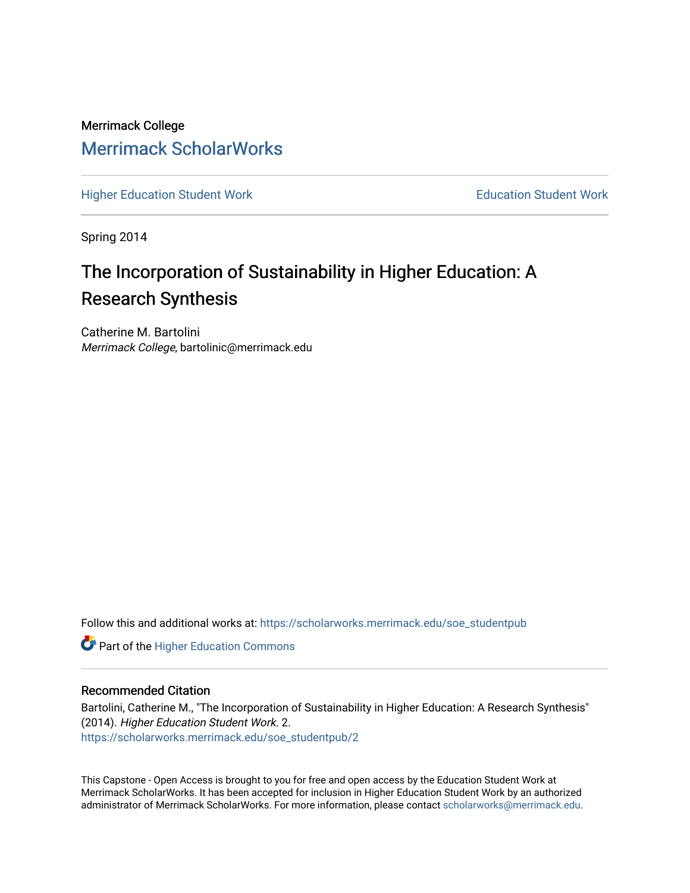# Merrimack College [Merrimack ScholarWorks](https://scholarworks.merrimack.edu/)

[Higher Education Student Work](https://scholarworks.merrimack.edu/soe_studentpub) **Education Student Work** Education Student Work

Spring 2014

# The Incorporation of Sustainability in Higher Education: A Research Synthesis

Catherine M. Bartolini Merrimack College, bartolinic@merrimack.edu

Follow this and additional works at: [https://scholarworks.merrimack.edu/soe\\_studentpub](https://scholarworks.merrimack.edu/soe_studentpub?utm_source=scholarworks.merrimack.edu%2Fsoe_studentpub%2F2&utm_medium=PDF&utm_campaign=PDFCoverPages) 

**Part of the Higher Education Commons** 

#### Recommended Citation

Bartolini, Catherine M., "The Incorporation of Sustainability in Higher Education: A Research Synthesis" (2014). Higher Education Student Work. 2. [https://scholarworks.merrimack.edu/soe\\_studentpub/2](https://scholarworks.merrimack.edu/soe_studentpub/2?utm_source=scholarworks.merrimack.edu%2Fsoe_studentpub%2F2&utm_medium=PDF&utm_campaign=PDFCoverPages) 

This Capstone - Open Access is brought to you for free and open access by the Education Student Work at Merrimack ScholarWorks. It has been accepted for inclusion in Higher Education Student Work by an authorized administrator of Merrimack ScholarWorks. For more information, please contact [scholarworks@merrimack.edu](mailto:scholarworks@merrimack.edu).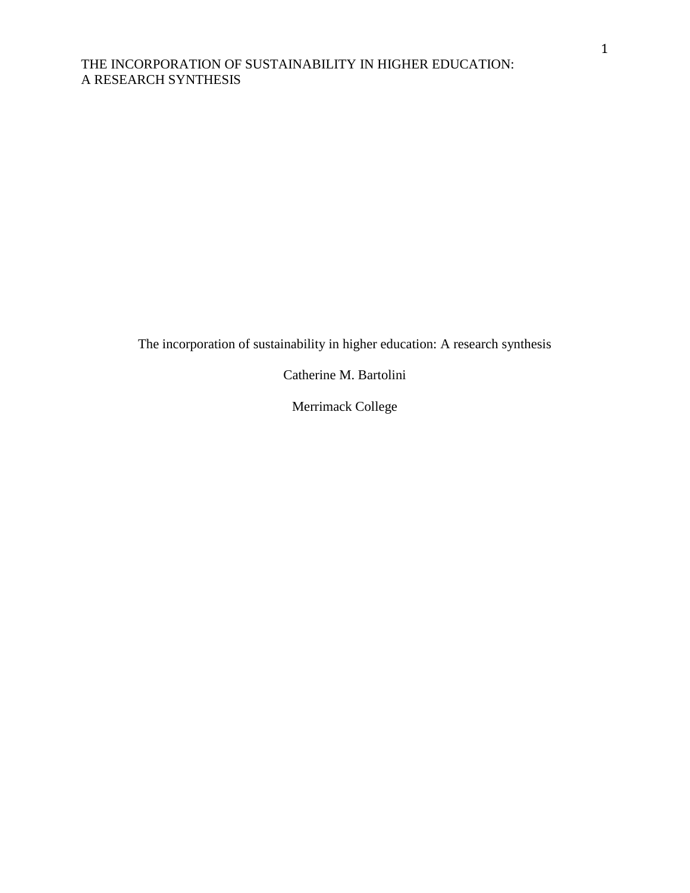The incorporation of sustainability in higher education: A research synthesis

Catherine M. Bartolini

Merrimack College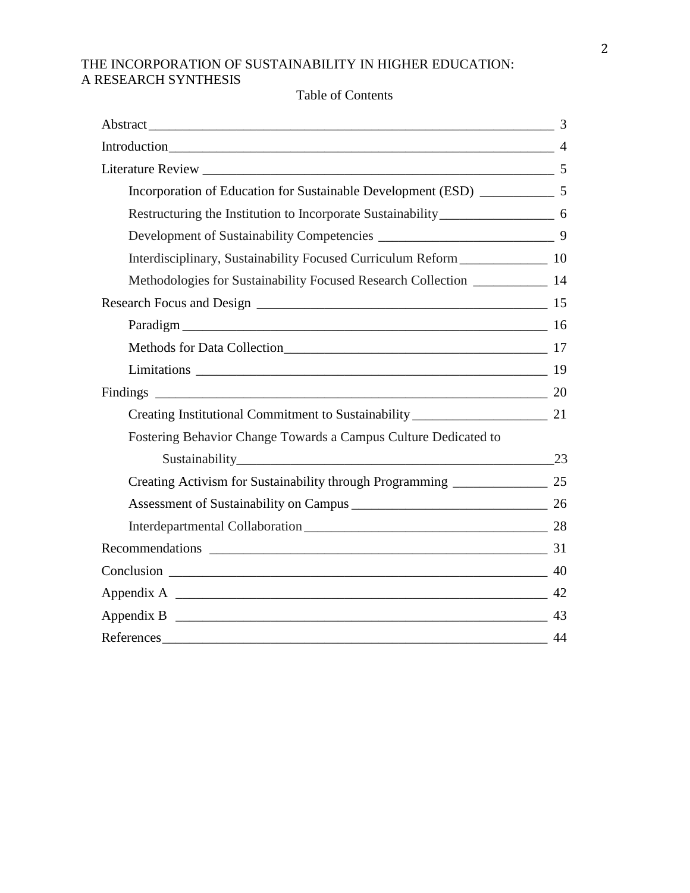|                                                                                      | 3  |
|--------------------------------------------------------------------------------------|----|
| Introduction 4                                                                       |    |
|                                                                                      |    |
| Incorporation of Education for Sustainable Development (ESD) ____________________ 5  |    |
| Restructuring the Institution to Incorporate Sustainability______________________ 6  |    |
|                                                                                      |    |
| Interdisciplinary, Sustainability Focused Curriculum Reform ____________________ 10  |    |
| Methodologies for Sustainability Focused Research Collection ____________________ 14 |    |
|                                                                                      |    |
| Paradigm 16                                                                          |    |
|                                                                                      |    |
|                                                                                      |    |
|                                                                                      |    |
|                                                                                      |    |
| Fostering Behavior Change Towards a Campus Culture Dedicated to                      |    |
|                                                                                      |    |
| Creating Activism for Sustainability through Programming ________________________ 25 |    |
|                                                                                      |    |
|                                                                                      |    |
|                                                                                      |    |
|                                                                                      |    |
|                                                                                      |    |
|                                                                                      | 43 |
|                                                                                      | 44 |

# Table of Contents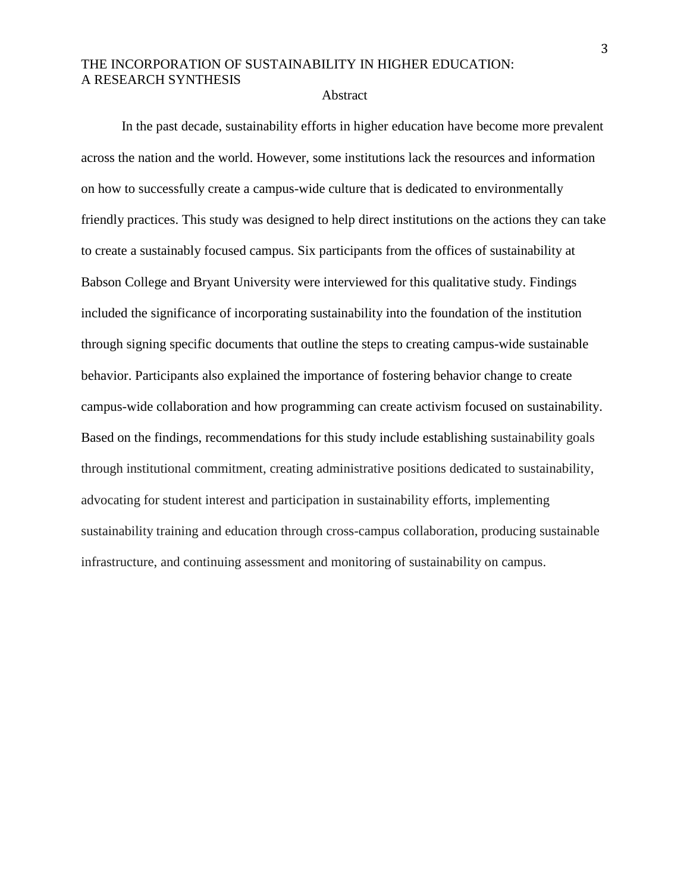#### **Abstract**

In the past decade, sustainability efforts in higher education have become more prevalent across the nation and the world. However, some institutions lack the resources and information on how to successfully create a campus-wide culture that is dedicated to environmentally friendly practices. This study was designed to help direct institutions on the actions they can take to create a sustainably focused campus. Six participants from the offices of sustainability at Babson College and Bryant University were interviewed for this qualitative study. Findings included the significance of incorporating sustainability into the foundation of the institution through signing specific documents that outline the steps to creating campus-wide sustainable behavior. Participants also explained the importance of fostering behavior change to create campus-wide collaboration and how programming can create activism focused on sustainability. Based on the findings, recommendations for this study include establishing sustainability goals through institutional commitment, creating administrative positions dedicated to sustainability, advocating for student interest and participation in sustainability efforts, implementing sustainability training and education through cross-campus collaboration, producing sustainable infrastructure, and continuing assessment and monitoring of sustainability on campus.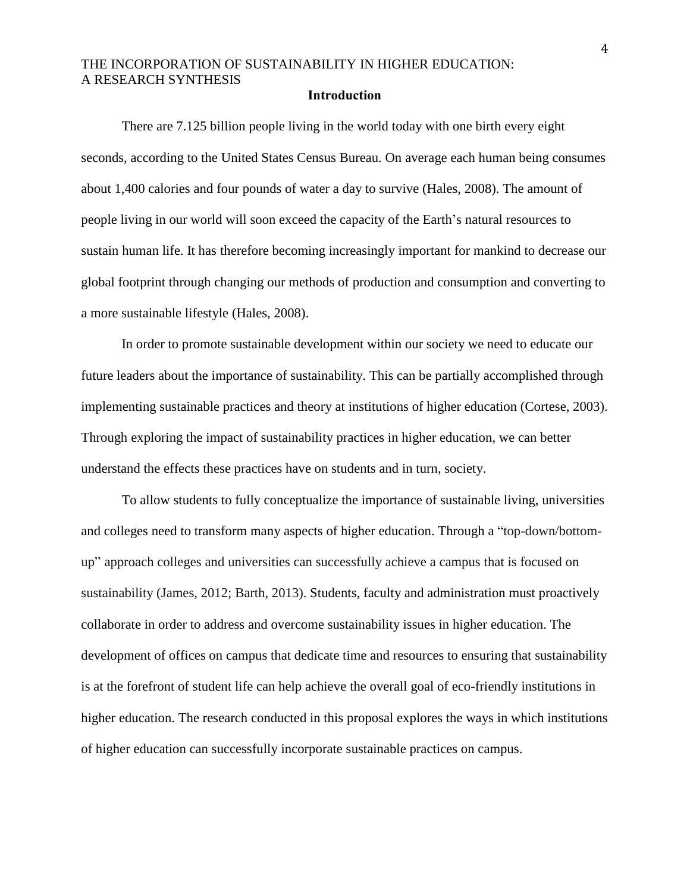#### **Introduction**

There are 7.125 billion people living in the world today with one birth every eight seconds, according to the United States Census Bureau. On average each human being consumes about 1,400 calories and four pounds of water a day to survive (Hales, 2008). The amount of people living in our world will soon exceed the capacity of the Earth's natural resources to sustain human life. It has therefore becoming increasingly important for mankind to decrease our global footprint through changing our methods of production and consumption and converting to a more sustainable lifestyle (Hales, 2008).

In order to promote sustainable development within our society we need to educate our future leaders about the importance of sustainability. This can be partially accomplished through implementing sustainable practices and theory at institutions of higher education (Cortese, 2003). Through exploring the impact of sustainability practices in higher education, we can better understand the effects these practices have on students and in turn, society.

To allow students to fully conceptualize the importance of sustainable living, universities and colleges need to transform many aspects of higher education. Through a "top-down/bottomup" approach colleges and universities can successfully achieve a campus that is focused on sustainability (James, 2012; Barth, 2013). Students, faculty and administration must proactively collaborate in order to address and overcome sustainability issues in higher education. The development of offices on campus that dedicate time and resources to ensuring that sustainability is at the forefront of student life can help achieve the overall goal of eco-friendly institutions in higher education. The research conducted in this proposal explores the ways in which institutions of higher education can successfully incorporate sustainable practices on campus.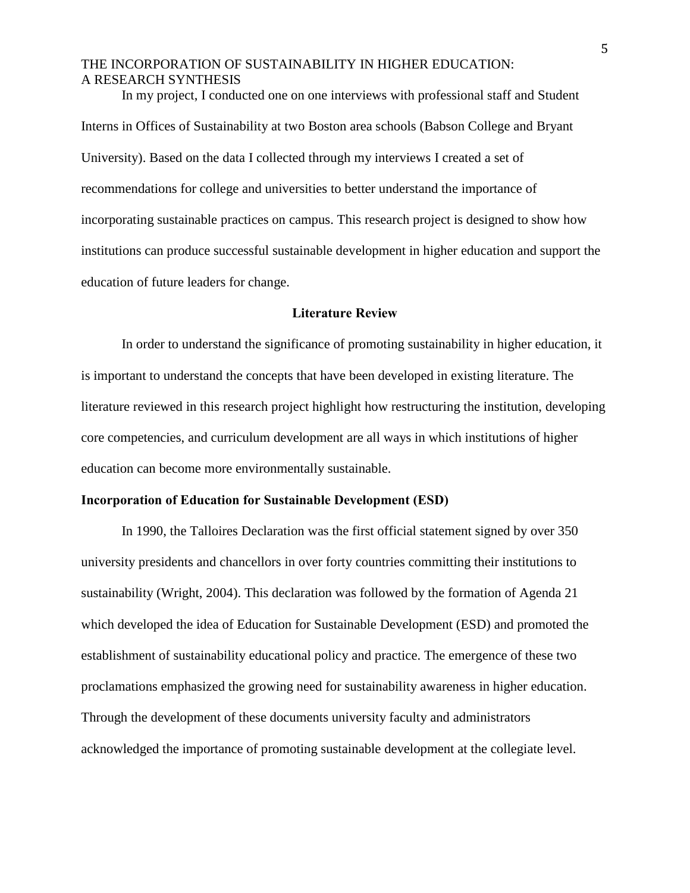In my project, I conducted one on one interviews with professional staff and Student Interns in Offices of Sustainability at two Boston area schools (Babson College and Bryant University). Based on the data I collected through my interviews I created a set of recommendations for college and universities to better understand the importance of incorporating sustainable practices on campus. This research project is designed to show how institutions can produce successful sustainable development in higher education and support the education of future leaders for change.

#### **Literature Review**

In order to understand the significance of promoting sustainability in higher education, it is important to understand the concepts that have been developed in existing literature. The literature reviewed in this research project highlight how restructuring the institution, developing core competencies, and curriculum development are all ways in which institutions of higher education can become more environmentally sustainable.

#### **Incorporation of Education for Sustainable Development (ESD)**

In 1990, the Talloires Declaration was the first official statement signed by over 350 university presidents and chancellors in over forty countries committing their institutions to sustainability (Wright, 2004). This declaration was followed by the formation of Agenda 21 which developed the idea of Education for Sustainable Development (ESD) and promoted the establishment of sustainability educational policy and practice. The emergence of these two proclamations emphasized the growing need for sustainability awareness in higher education. Through the development of these documents university faculty and administrators acknowledged the importance of promoting sustainable development at the collegiate level.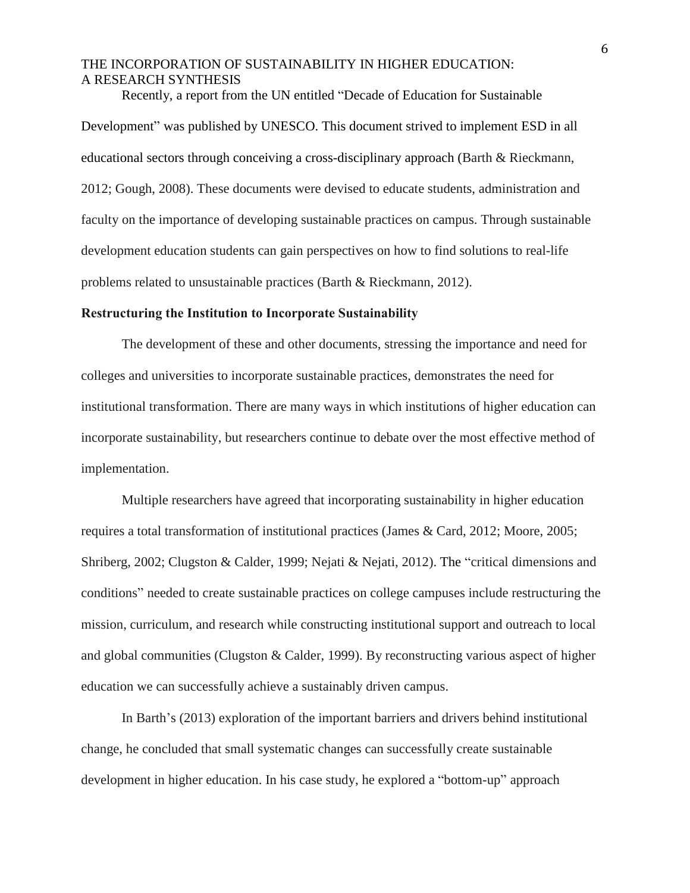Recently, a report from the UN entitled "Decade of Education for Sustainable Development" was published by UNESCO. This document strived to implement ESD in all educational sectors through conceiving a cross-disciplinary approach (Barth & Rieckmann, 2012; Gough, 2008). These documents were devised to educate students, administration and faculty on the importance of developing sustainable practices on campus. Through sustainable development education students can gain perspectives on how to find solutions to real-life problems related to unsustainable practices (Barth & Rieckmann, 2012).

#### **Restructuring the Institution to Incorporate Sustainability**

The development of these and other documents, stressing the importance and need for colleges and universities to incorporate sustainable practices, demonstrates the need for institutional transformation. There are many ways in which institutions of higher education can incorporate sustainability, but researchers continue to debate over the most effective method of implementation.

Multiple researchers have agreed that incorporating sustainability in higher education requires a total transformation of institutional practices (James & Card, 2012; Moore, 2005; Shriberg, 2002; Clugston & Calder, 1999; Nejati & Nejati, 2012). The "critical dimensions and conditions" needed to create sustainable practices on college campuses include restructuring the mission, curriculum, and research while constructing institutional support and outreach to local and global communities (Clugston & Calder, 1999). By reconstructing various aspect of higher education we can successfully achieve a sustainably driven campus.

In Barth's (2013) exploration of the important barriers and drivers behind institutional change, he concluded that small systematic changes can successfully create sustainable development in higher education. In his case study, he explored a "bottom-up" approach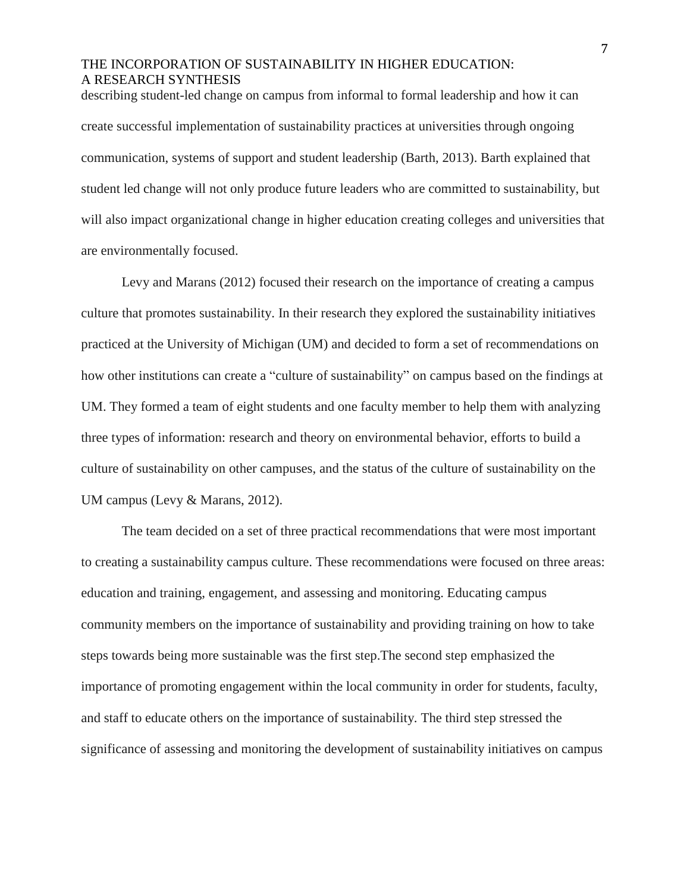describing student-led change on campus from informal to formal leadership and how it can create successful implementation of sustainability practices at universities through ongoing communication, systems of support and student leadership (Barth, 2013). Barth explained that student led change will not only produce future leaders who are committed to sustainability, but will also impact organizational change in higher education creating colleges and universities that are environmentally focused.

Levy and Marans (2012) focused their research on the importance of creating a campus culture that promotes sustainability. In their research they explored the sustainability initiatives practiced at the University of Michigan (UM) and decided to form a set of recommendations on how other institutions can create a "culture of sustainability" on campus based on the findings at UM. They formed a team of eight students and one faculty member to help them with analyzing three types of information: research and theory on environmental behavior, efforts to build a culture of sustainability on other campuses, and the status of the culture of sustainability on the UM campus (Levy & Marans, 2012).

The team decided on a set of three practical recommendations that were most important to creating a sustainability campus culture. These recommendations were focused on three areas: education and training, engagement, and assessing and monitoring. Educating campus community members on the importance of sustainability and providing training on how to take steps towards being more sustainable was the first step.The second step emphasized the importance of promoting engagement within the local community in order for students, faculty, and staff to educate others on the importance of sustainability. The third step stressed the significance of assessing and monitoring the development of sustainability initiatives on campus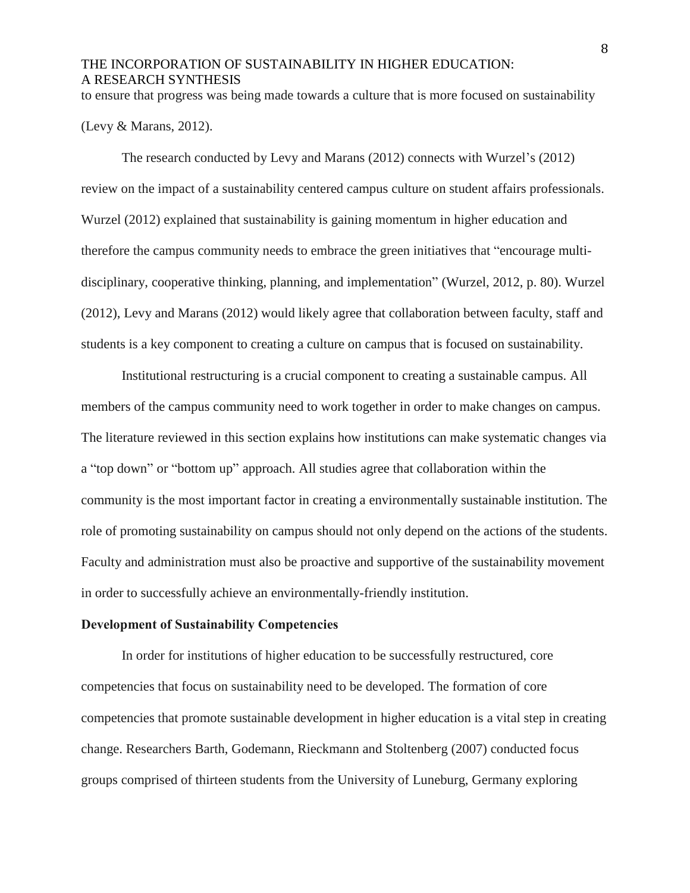to ensure that progress was being made towards a culture that is more focused on sustainability

(Levy & Marans, 2012).

The research conducted by Levy and Marans (2012) connects with Wurzel's (2012) review on the impact of a sustainability centered campus culture on student affairs professionals. Wurzel (2012) explained that sustainability is gaining momentum in higher education and therefore the campus community needs to embrace the green initiatives that "encourage multidisciplinary, cooperative thinking, planning, and implementation" (Wurzel, 2012, p. 80). Wurzel (2012), Levy and Marans (2012) would likely agree that collaboration between faculty, staff and students is a key component to creating a culture on campus that is focused on sustainability.

Institutional restructuring is a crucial component to creating a sustainable campus. All members of the campus community need to work together in order to make changes on campus. The literature reviewed in this section explains how institutions can make systematic changes via a "top down" or "bottom up" approach. All studies agree that collaboration within the community is the most important factor in creating a environmentally sustainable institution. The role of promoting sustainability on campus should not only depend on the actions of the students. Faculty and administration must also be proactive and supportive of the sustainability movement in order to successfully achieve an environmentally-friendly institution.

#### **Development of Sustainability Competencies**

In order for institutions of higher education to be successfully restructured, core competencies that focus on sustainability need to be developed. The formation of core competencies that promote sustainable development in higher education is a vital step in creating change. Researchers Barth, Godemann, Rieckmann and Stoltenberg (2007) conducted focus groups comprised of thirteen students from the University of Luneburg, Germany exploring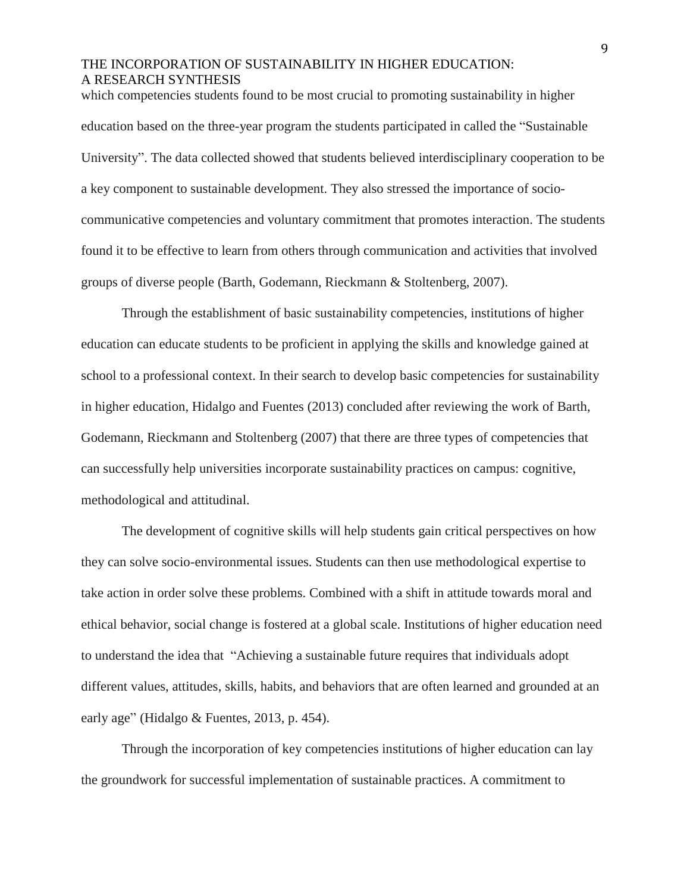which competencies students found to be most crucial to promoting sustainability in higher education based on the three-year program the students participated in called the "Sustainable University". The data collected showed that students believed interdisciplinary cooperation to be a key component to sustainable development. They also stressed the importance of sociocommunicative competencies and voluntary commitment that promotes interaction. The students found it to be effective to learn from others through communication and activities that involved groups of diverse people (Barth, Godemann, Rieckmann & Stoltenberg, 2007).

Through the establishment of basic sustainability competencies, institutions of higher education can educate students to be proficient in applying the skills and knowledge gained at school to a professional context. In their search to develop basic competencies for sustainability in higher education, Hidalgo and Fuentes (2013) concluded after reviewing the work of Barth, Godemann, Rieckmann and Stoltenberg (2007) that there are three types of competencies that can successfully help universities incorporate sustainability practices on campus: cognitive, methodological and attitudinal.

The development of cognitive skills will help students gain critical perspectives on how they can solve socio-environmental issues. Students can then use methodological expertise to take action in order solve these problems. Combined with a shift in attitude towards moral and ethical behavior, social change is fostered at a global scale. Institutions of higher education need to understand the idea that "Achieving a sustainable future requires that individuals adopt different values, attitudes, skills, habits, and behaviors that are often learned and grounded at an early age" (Hidalgo & Fuentes, 2013, p. 454).

Through the incorporation of key competencies institutions of higher education can lay the groundwork for successful implementation of sustainable practices. A commitment to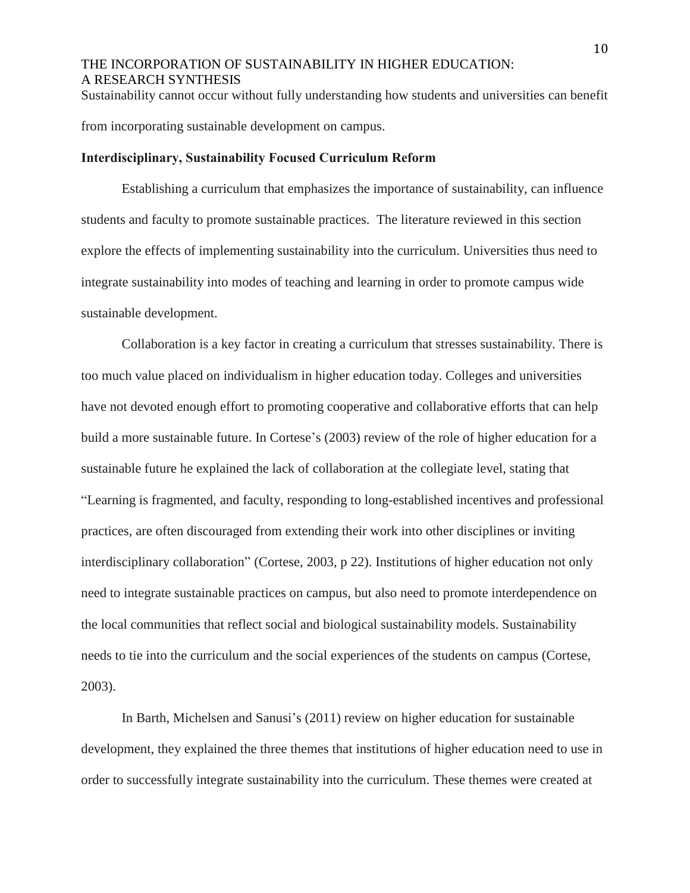Sustainability cannot occur without fully understanding how students and universities can benefit from incorporating sustainable development on campus.

#### **Interdisciplinary, Sustainability Focused Curriculum Reform**

Establishing a curriculum that emphasizes the importance of sustainability, can influence students and faculty to promote sustainable practices. The literature reviewed in this section explore the effects of implementing sustainability into the curriculum. Universities thus need to integrate sustainability into modes of teaching and learning in order to promote campus wide sustainable development.

Collaboration is a key factor in creating a curriculum that stresses sustainability. There is too much value placed on individualism in higher education today. Colleges and universities have not devoted enough effort to promoting cooperative and collaborative efforts that can help build a more sustainable future. In Cortese's (2003) review of the role of higher education for a sustainable future he explained the lack of collaboration at the collegiate level, stating that "Learning is fragmented, and faculty, responding to long-established incentives and professional practices, are often discouraged from extending their work into other disciplines or inviting interdisciplinary collaboration" (Cortese, 2003, p 22). Institutions of higher education not only need to integrate sustainable practices on campus, but also need to promote interdependence on the local communities that reflect social and biological sustainability models. Sustainability needs to tie into the curriculum and the social experiences of the students on campus (Cortese, 2003).

In Barth, Michelsen and Sanusi's (2011) review on higher education for sustainable development, they explained the three themes that institutions of higher education need to use in order to successfully integrate sustainability into the curriculum. These themes were created at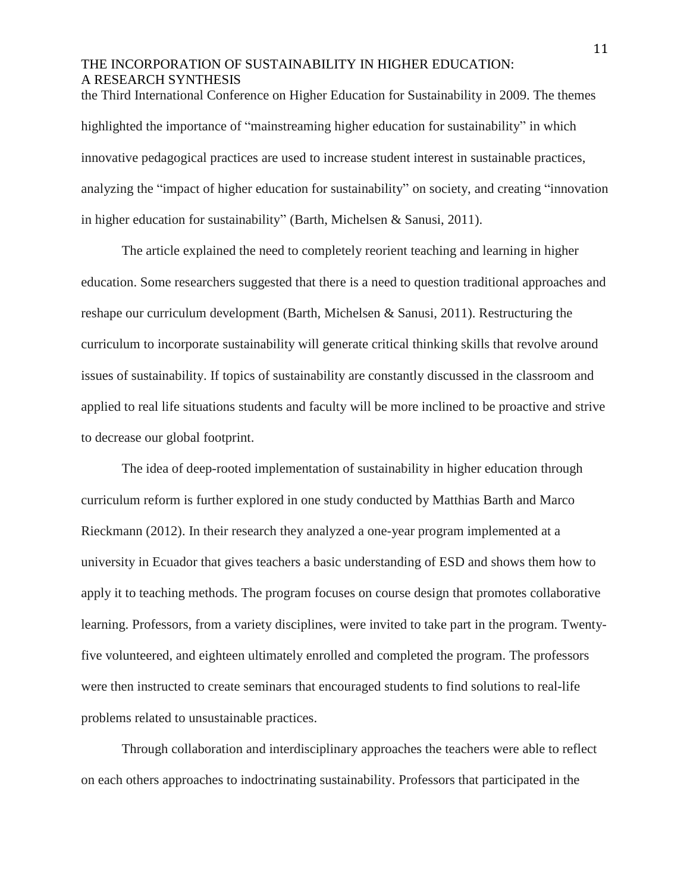the Third International Conference on Higher Education for Sustainability in 2009. The themes highlighted the importance of "mainstreaming higher education for sustainability" in which innovative pedagogical practices are used to increase student interest in sustainable practices, analyzing the "impact of higher education for sustainability" on society, and creating "innovation in higher education for sustainability" (Barth, Michelsen & Sanusi, 2011).

The article explained the need to completely reorient teaching and learning in higher education. Some researchers suggested that there is a need to question traditional approaches and reshape our curriculum development (Barth, Michelsen & Sanusi, 2011). Restructuring the curriculum to incorporate sustainability will generate critical thinking skills that revolve around issues of sustainability. If topics of sustainability are constantly discussed in the classroom and applied to real life situations students and faculty will be more inclined to be proactive and strive to decrease our global footprint.

The idea of deep-rooted implementation of sustainability in higher education through curriculum reform is further explored in one study conducted by Matthias Barth and Marco Rieckmann (2012). In their research they analyzed a one-year program implemented at a university in Ecuador that gives teachers a basic understanding of ESD and shows them how to apply it to teaching methods. The program focuses on course design that promotes collaborative learning. Professors, from a variety disciplines, were invited to take part in the program. Twentyfive volunteered, and eighteen ultimately enrolled and completed the program. The professors were then instructed to create seminars that encouraged students to find solutions to real-life problems related to unsustainable practices.

Through collaboration and interdisciplinary approaches the teachers were able to reflect on each others approaches to indoctrinating sustainability. Professors that participated in the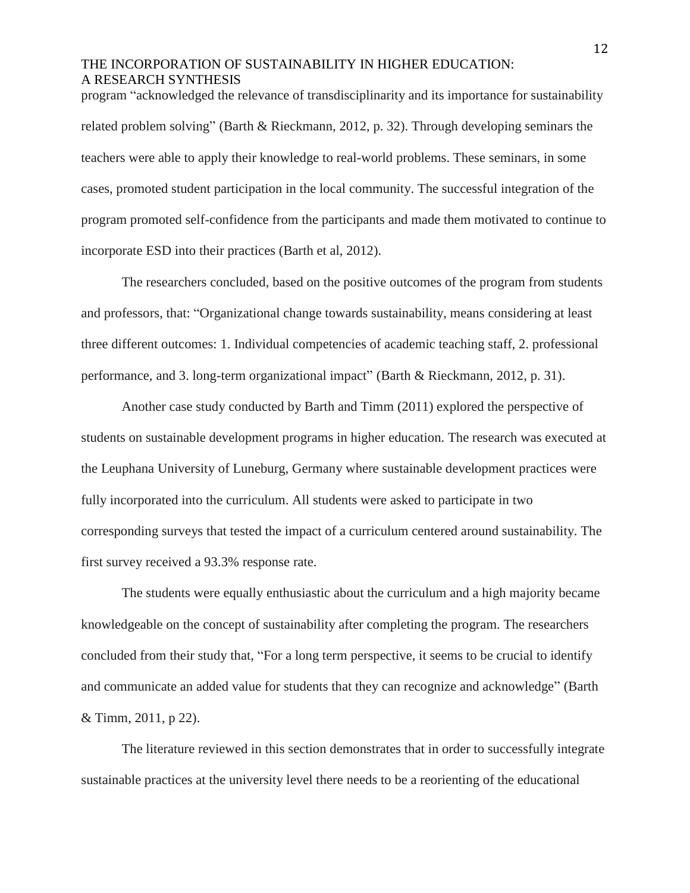program "acknowledged the relevance of transdisciplinarity and its importance for sustainability related problem solving" (Barth & Rieckmann, 2012, p. 32). Through developing seminars the teachers were able to apply their knowledge to real-world problems. These seminars, in some cases, promoted student participation in the local community. The successful integration of the program promoted self-confidence from the participants and made them motivated to continue to incorporate ESD into their practices (Barth et al, 2012).

The researchers concluded, based on the positive outcomes of the program from students and professors, that: "Organizational change towards sustainability, means considering at least three different outcomes: 1. Individual competencies of academic teaching staff, 2. professional performance, and 3. long-term organizational impact" (Barth & Rieckmann, 2012, p. 31).

Another case study conducted by Barth and Timm (2011) explored the perspective of students on sustainable development programs in higher education. The research was executed at the Leuphana University of Luneburg, Germany where sustainable development practices were fully incorporated into the curriculum. All students were asked to participate in two corresponding surveys that tested the impact of a curriculum centered around sustainability. The first survey received a 93.3% response rate.

The students were equally enthusiastic about the curriculum and a high majority became knowledgeable on the concept of sustainability after completing the program. The researchers concluded from their study that, "For a long term perspective, it seems to be crucial to identify and communicate an added value for students that they can recognize and acknowledge" (Barth & Timm, 2011, p 22).

The literature reviewed in this section demonstrates that in order to successfully integrate sustainable practices at the university level there needs to be a reorienting of the educational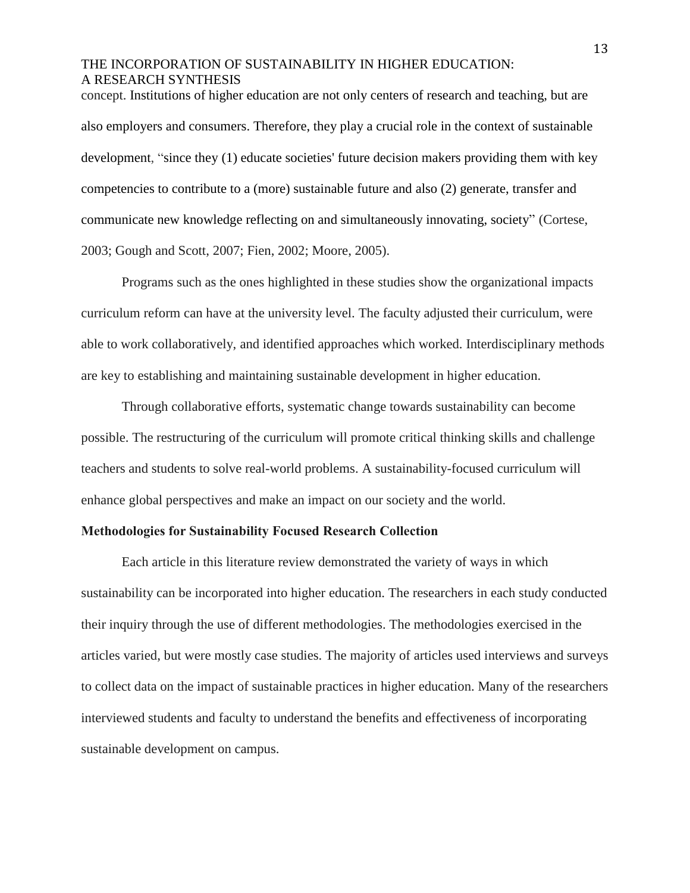concept. Institutions of higher education are not only centers of research and teaching, but are also employers and consumers. Therefore, they play a crucial role in the context of sustainable development, "since they (1) educate societies' future decision makers providing them with key competencies to contribute to a (more) sustainable future and also (2) generate, transfer and communicate new knowledge reflecting on and simultaneously innovating, society" (Cortese, 2003; Gough and Scott, 2007; Fien, 2002; Moore, 2005).

Programs such as the ones highlighted in these studies show the organizational impacts curriculum reform can have at the university level. The faculty adjusted their curriculum, were able to work collaboratively, and identified approaches which worked. Interdisciplinary methods are key to establishing and maintaining sustainable development in higher education.

Through collaborative efforts, systematic change towards sustainability can become possible. The restructuring of the curriculum will promote critical thinking skills and challenge teachers and students to solve real-world problems. A sustainability-focused curriculum will enhance global perspectives and make an impact on our society and the world.

#### **Methodologies for Sustainability Focused Research Collection**

Each article in this literature review demonstrated the variety of ways in which sustainability can be incorporated into higher education. The researchers in each study conducted their inquiry through the use of different methodologies. The methodologies exercised in the articles varied, but were mostly case studies. The majority of articles used interviews and surveys to collect data on the impact of sustainable practices in higher education. Many of the researchers interviewed students and faculty to understand the benefits and effectiveness of incorporating sustainable development on campus.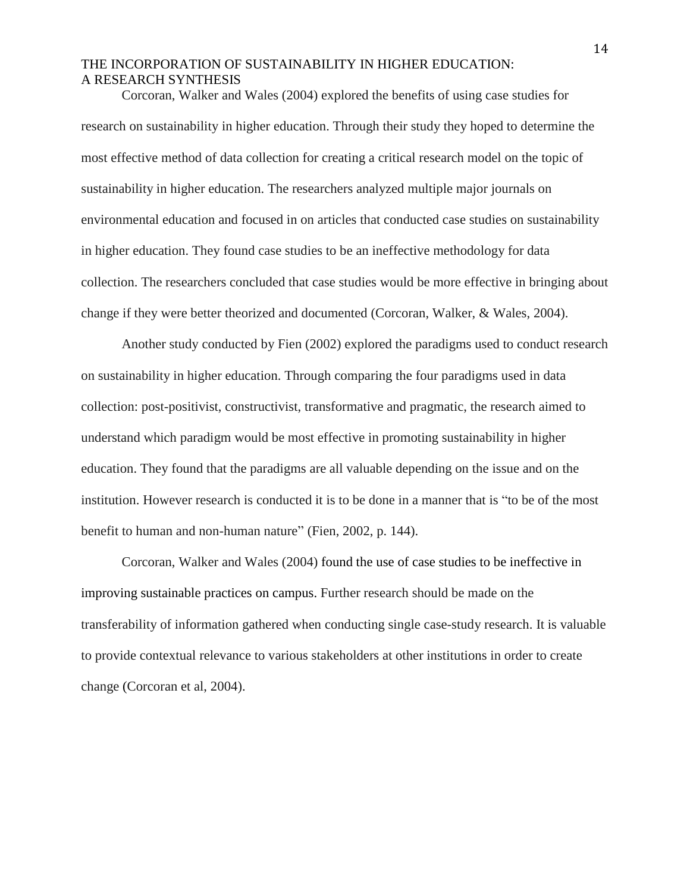Corcoran, Walker and Wales (2004) explored the benefits of using case studies for research on sustainability in higher education. Through their study they hoped to determine the most effective method of data collection for creating a critical research model on the topic of sustainability in higher education. The researchers analyzed multiple major journals on environmental education and focused in on articles that conducted case studies on sustainability in higher education. They found case studies to be an ineffective methodology for data collection. The researchers concluded that case studies would be more effective in bringing about change if they were better theorized and documented (Corcoran, Walker, & Wales, 2004).

Another study conducted by Fien (2002) explored the paradigms used to conduct research on sustainability in higher education. Through comparing the four paradigms used in data collection: post-positivist, constructivist, transformative and pragmatic, the research aimed to understand which paradigm would be most effective in promoting sustainability in higher education. They found that the paradigms are all valuable depending on the issue and on the institution. However research is conducted it is to be done in a manner that is "to be of the most benefit to human and non-human nature" (Fien, 2002, p. 144).

Corcoran, Walker and Wales (2004) found the use of case studies to be ineffective in improving sustainable practices on campus. Further research should be made on the transferability of information gathered when conducting single case-study research. It is valuable to provide contextual relevance to various stakeholders at other institutions in order to create change (Corcoran et al, 2004).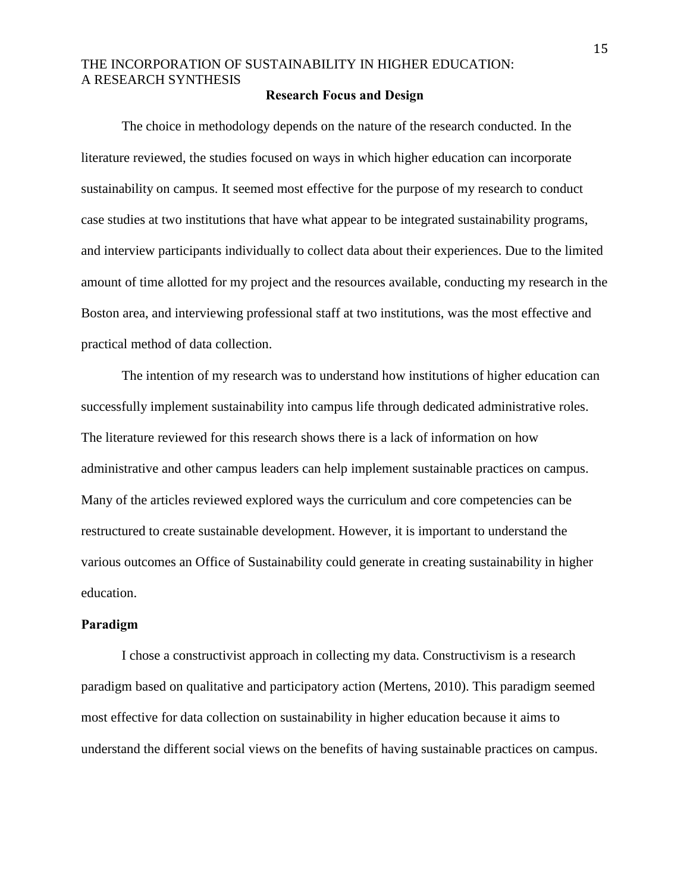#### **Research Focus and Design**

The choice in methodology depends on the nature of the research conducted. In the literature reviewed, the studies focused on ways in which higher education can incorporate sustainability on campus. It seemed most effective for the purpose of my research to conduct case studies at two institutions that have what appear to be integrated sustainability programs, and interview participants individually to collect data about their experiences. Due to the limited amount of time allotted for my project and the resources available, conducting my research in the Boston area, and interviewing professional staff at two institutions, was the most effective and practical method of data collection.

The intention of my research was to understand how institutions of higher education can successfully implement sustainability into campus life through dedicated administrative roles. The literature reviewed for this research shows there is a lack of information on how administrative and other campus leaders can help implement sustainable practices on campus. Many of the articles reviewed explored ways the curriculum and core competencies can be restructured to create sustainable development. However, it is important to understand the various outcomes an Office of Sustainability could generate in creating sustainability in higher education.

#### **Paradigm**

I chose a constructivist approach in collecting my data. Constructivism is a research paradigm based on qualitative and participatory action (Mertens, 2010). This paradigm seemed most effective for data collection on sustainability in higher education because it aims to understand the different social views on the benefits of having sustainable practices on campus.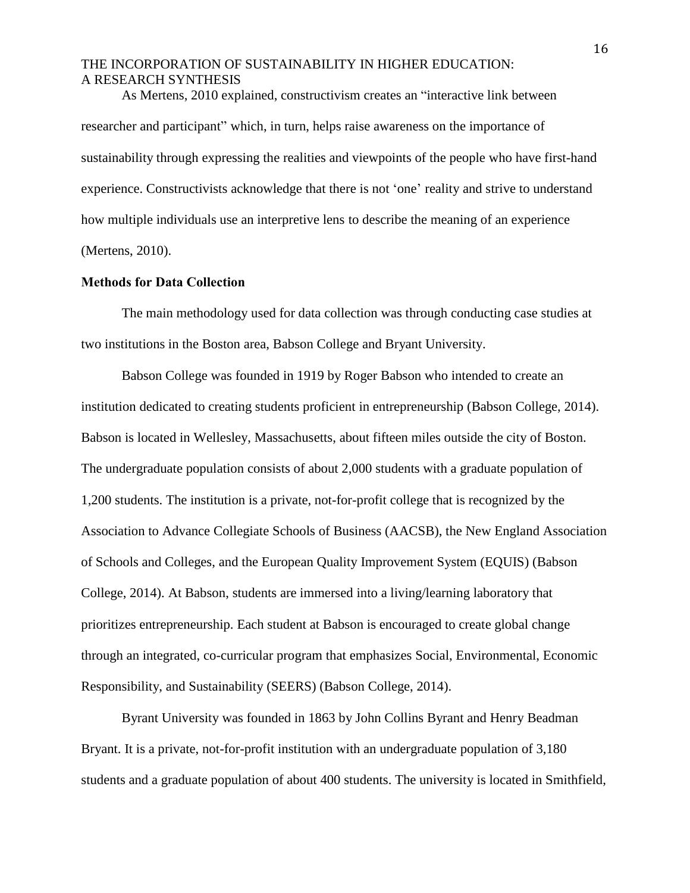As Mertens, 2010 explained, constructivism creates an "interactive link between researcher and participant" which, in turn, helps raise awareness on the importance of sustainability through expressing the realities and viewpoints of the people who have first-hand experience. Constructivists acknowledge that there is not 'one' reality and strive to understand how multiple individuals use an interpretive lens to describe the meaning of an experience (Mertens, 2010).

#### **Methods for Data Collection**

The main methodology used for data collection was through conducting case studies at two institutions in the Boston area, Babson College and Bryant University.

Babson College was founded in 1919 by Roger Babson who intended to create an institution dedicated to creating students proficient in entrepreneurship (Babson College, 2014). Babson is located in Wellesley, Massachusetts, about fifteen miles outside the city of Boston. The undergraduate population consists of about 2,000 students with a graduate population of 1,200 students. The institution is a private, not-for-profit college that is recognized by the Association to Advance Collegiate Schools of Business (AACSB), the New England Association of Schools and Colleges, and the European Quality Improvement System (EQUIS) (Babson College, 2014). At Babson, students are immersed into a living/learning laboratory that prioritizes entrepreneurship. Each student at Babson is encouraged to create global change through an integrated, co-curricular program that emphasizes Social, Environmental, Economic Responsibility, and Sustainability (SEERS) (Babson College, 2014).

Byrant University was founded in 1863 by John Collins Byrant and Henry Beadman Bryant. It is a private, not-for-profit institution with an undergraduate population of 3,180 students and a graduate population of about 400 students. The university is located in Smithfield,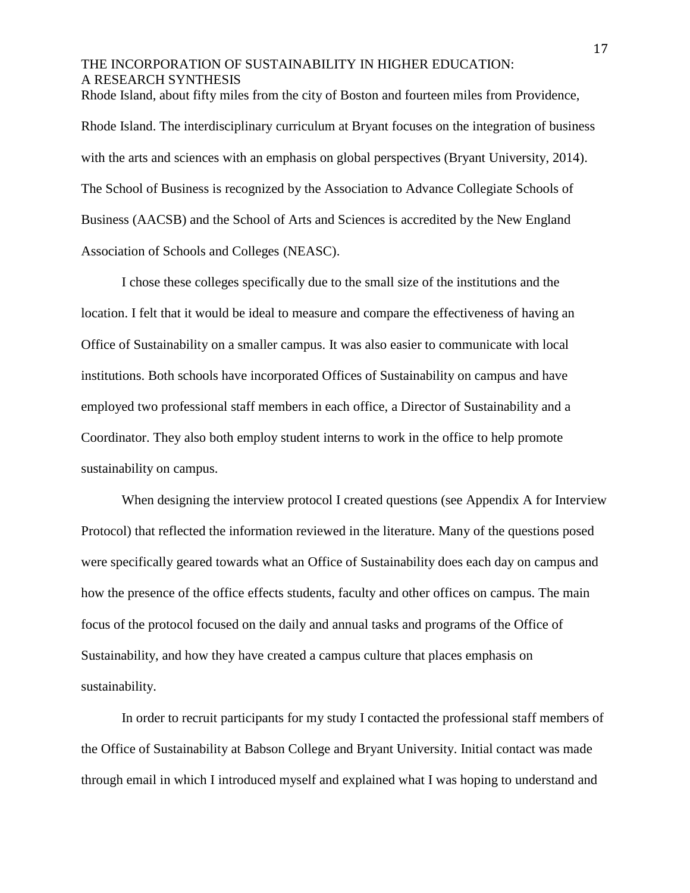### THE INCORPORATION OF SUSTAINABILITY IN HIGHER EDUCATION: A RESEARCH SYNTHESIS Rhode Island, about fifty miles from the city of Boston and fourteen miles from Providence,

Rhode Island. The interdisciplinary curriculum at Bryant focuses on the integration of business with the arts and sciences with an emphasis on global perspectives (Bryant University, 2014). The School of Business is recognized by the Association to Advance Collegiate Schools of Business (AACSB) and the School of Arts and Sciences is accredited by the New [England](http://www.neasc.org/) [Association](http://www.neasc.org/) of Schools and Colleges (NEASC).

I chose these colleges specifically due to the small size of the institutions and the location. I felt that it would be ideal to measure and compare the effectiveness of having an Office of Sustainability on a smaller campus. It was also easier to communicate with local institutions. Both schools have incorporated Offices of Sustainability on campus and have employed two professional staff members in each office, a Director of Sustainability and a Coordinator. They also both employ student interns to work in the office to help promote sustainability on campus.

When designing the interview protocol I created questions (see Appendix A for Interview Protocol) that reflected the information reviewed in the literature. Many of the questions posed were specifically geared towards what an Office of Sustainability does each day on campus and how the presence of the office effects students, faculty and other offices on campus. The main focus of the protocol focused on the daily and annual tasks and programs of the Office of Sustainability, and how they have created a campus culture that places emphasis on sustainability.

In order to recruit participants for my study I contacted the professional staff members of the Office of Sustainability at Babson College and Bryant University. Initial contact was made through email in which I introduced myself and explained what I was hoping to understand and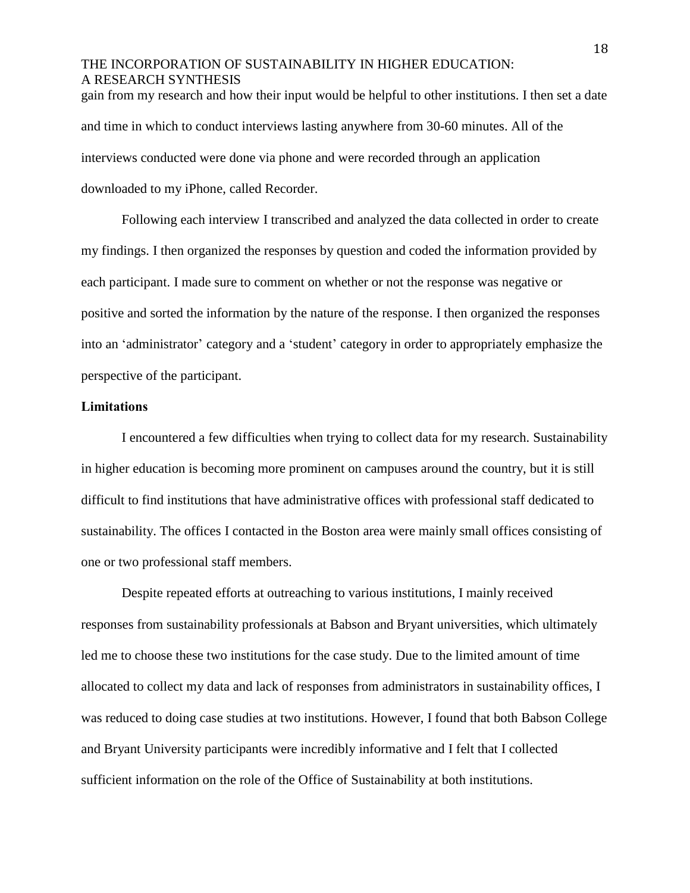gain from my research and how their input would be helpful to other institutions. I then set a date and time in which to conduct interviews lasting anywhere from 30-60 minutes. All of the interviews conducted were done via phone and were recorded through an application downloaded to my iPhone, called Recorder.

Following each interview I transcribed and analyzed the data collected in order to create my findings. I then organized the responses by question and coded the information provided by each participant. I made sure to comment on whether or not the response was negative or positive and sorted the information by the nature of the response. I then organized the responses into an 'administrator' category and a 'student' category in order to appropriately emphasize the perspective of the participant.

#### **Limitations**

I encountered a few difficulties when trying to collect data for my research. Sustainability in higher education is becoming more prominent on campuses around the country, but it is still difficult to find institutions that have administrative offices with professional staff dedicated to sustainability. The offices I contacted in the Boston area were mainly small offices consisting of one or two professional staff members.

Despite repeated efforts at outreaching to various institutions, I mainly received responses from sustainability professionals at Babson and Bryant universities, which ultimately led me to choose these two institutions for the case study. Due to the limited amount of time allocated to collect my data and lack of responses from administrators in sustainability offices, I was reduced to doing case studies at two institutions. However, I found that both Babson College and Bryant University participants were incredibly informative and I felt that I collected sufficient information on the role of the Office of Sustainability at both institutions.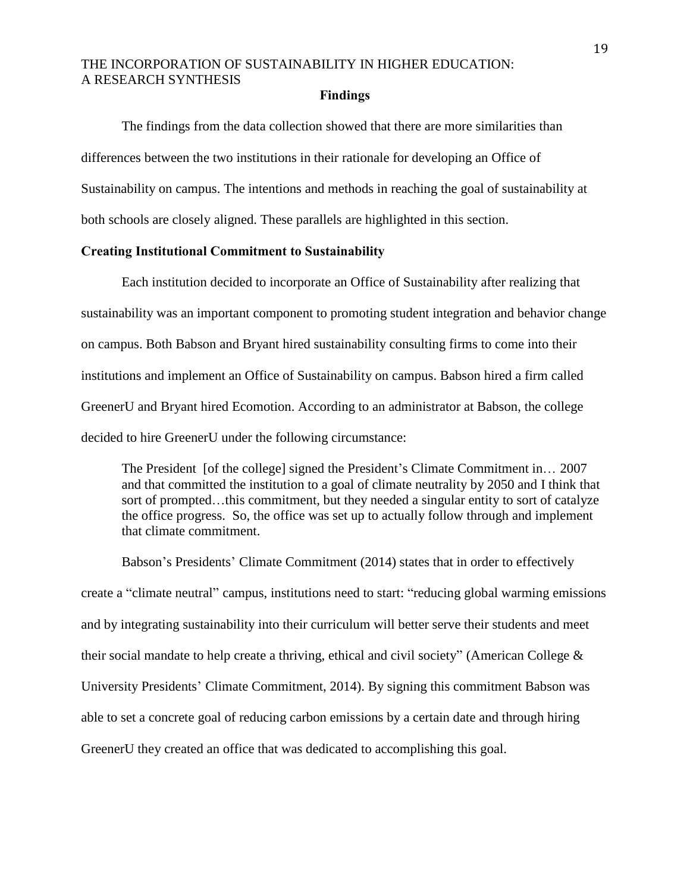#### **Findings**

The findings from the data collection showed that there are more similarities than differences between the two institutions in their rationale for developing an Office of Sustainability on campus. The intentions and methods in reaching the goal of sustainability at both schools are closely aligned. These parallels are highlighted in this section.

#### **Creating Institutional Commitment to Sustainability**

Each institution decided to incorporate an Office of Sustainability after realizing that sustainability was an important component to promoting student integration and behavior change on campus. Both Babson and Bryant hired sustainability consulting firms to come into their institutions and implement an Office of Sustainability on campus. Babson hired a firm called GreenerU and Bryant hired Ecomotion. According to an administrator at Babson, the college decided to hire GreenerU under the following circumstance:

The President [of the college] signed the President's Climate Commitment in… 2007 and that committed the institution to a goal of climate neutrality by 2050 and I think that sort of prompted...this commitment, but they needed a singular entity to sort of catalyze the office progress. So, the office was set up to actually follow through and implement that climate commitment.

Babson's Presidents' Climate Commitment (2014) states that in order to effectively create a "climate neutral" campus, institutions need to start: "reducing global warming emissions and by integrating sustainability into their curriculum will better serve their students and meet their social mandate to help create a thriving, ethical and civil society" (American College & University Presidents' Climate Commitment, 2014). By signing this commitment Babson was able to set a concrete goal of reducing carbon emissions by a certain date and through hiring GreenerU they created an office that was dedicated to accomplishing this goal.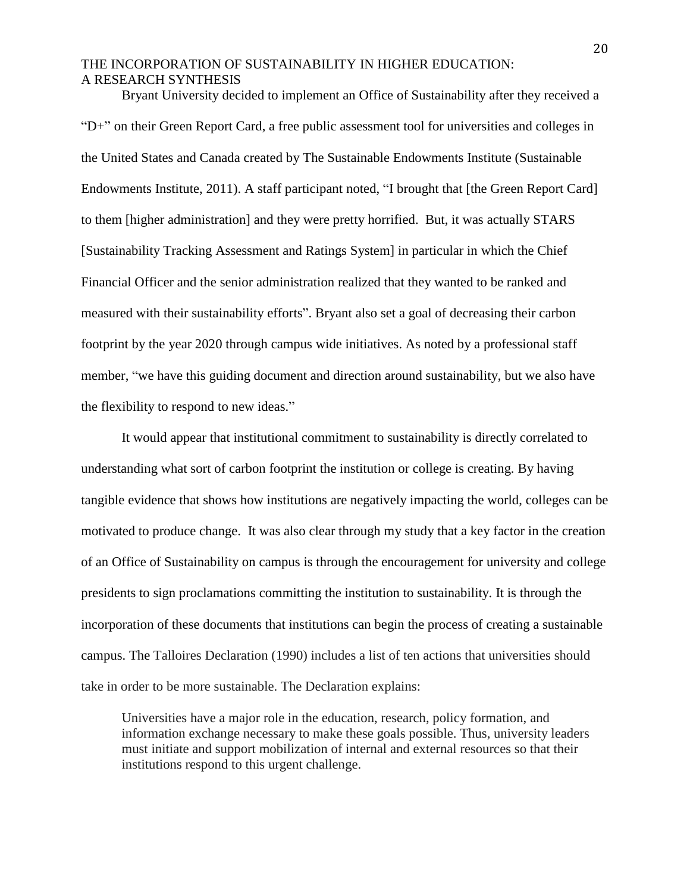Bryant University decided to implement an Office of Sustainability after they received a "D+" on their Green Report Card, a free public assessment tool for universities and colleges in the United States and Canada created by The Sustainable Endowments Institute (Sustainable Endowments Institute, 2011). A staff participant noted, "I brought that [the Green Report Card] to them [higher administration] and they were pretty horrified. But, it was actually STARS [Sustainability Tracking Assessment and Ratings System] in particular in which the Chief Financial Officer and the senior administration realized that they wanted to be ranked and measured with their sustainability efforts". Bryant also set a goal of decreasing their carbon footprint by the year 2020 through campus wide initiatives. As noted by a professional staff member, "we have this guiding document and direction around sustainability, but we also have the flexibility to respond to new ideas."

It would appear that institutional commitment to sustainability is directly correlated to understanding what sort of carbon footprint the institution or college is creating. By having tangible evidence that shows how institutions are negatively impacting the world, colleges can be motivated to produce change. It was also clear through my study that a key factor in the creation of an Office of Sustainability on campus is through the encouragement for university and college presidents to sign proclamations committing the institution to sustainability. It is through the incorporation of these documents that institutions can begin the process of creating a sustainable campus. The Talloires Declaration (1990) includes a list of ten actions that universities should take in order to be more sustainable. The Declaration explains:

Universities have a major role in the education, research, policy formation, and information exchange necessary to make these goals possible. Thus, university leaders must initiate and support mobilization of internal and external resources so that their institutions respond to this urgent challenge.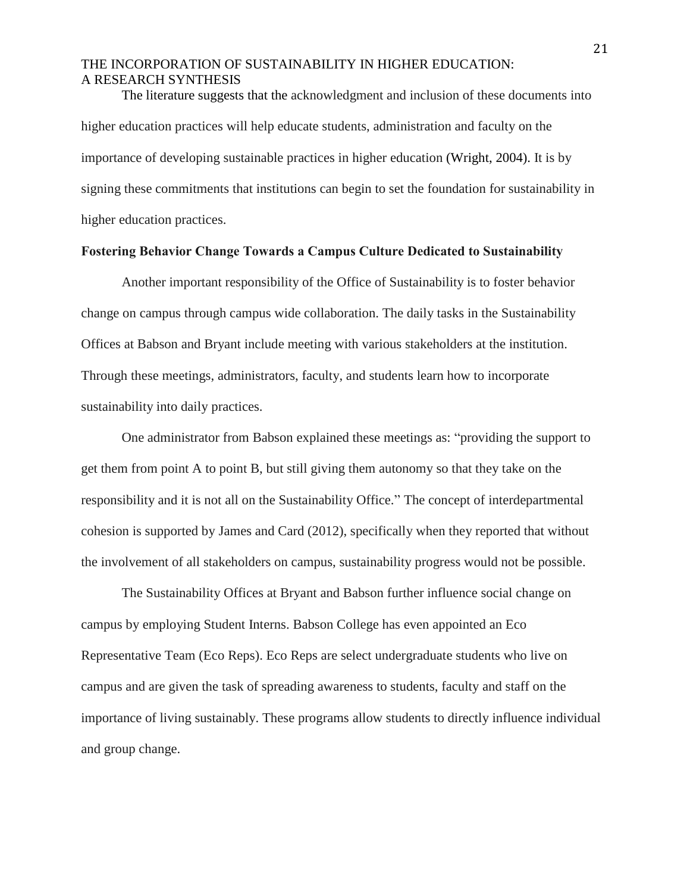The literature suggests that the acknowledgment and inclusion of these documents into higher education practices will help educate students, administration and faculty on the importance of developing sustainable practices in higher education (Wright, 2004). It is by signing these commitments that institutions can begin to set the foundation for sustainability in higher education practices.

#### **Fostering Behavior Change Towards a Campus Culture Dedicated to Sustainability**

Another important responsibility of the Office of Sustainability is to foster behavior change on campus through campus wide collaboration. The daily tasks in the Sustainability Offices at Babson and Bryant include meeting with various stakeholders at the institution. Through these meetings, administrators, faculty, and students learn how to incorporate sustainability into daily practices.

One administrator from Babson explained these meetings as: "providing the support to get them from point A to point B, but still giving them autonomy so that they take on the responsibility and it is not all on the Sustainability Office." The concept of interdepartmental cohesion is supported by James and Card (2012), specifically when they reported that without the involvement of all stakeholders on campus, sustainability progress would not be possible.

The Sustainability Offices at Bryant and Babson further influence social change on campus by employing Student Interns. Babson College has even appointed an Eco Representative Team (Eco Reps). Eco Reps are select undergraduate students who live on campus and are given the task of spreading awareness to students, faculty and staff on the importance of living sustainably. These programs allow students to directly influence individual and group change.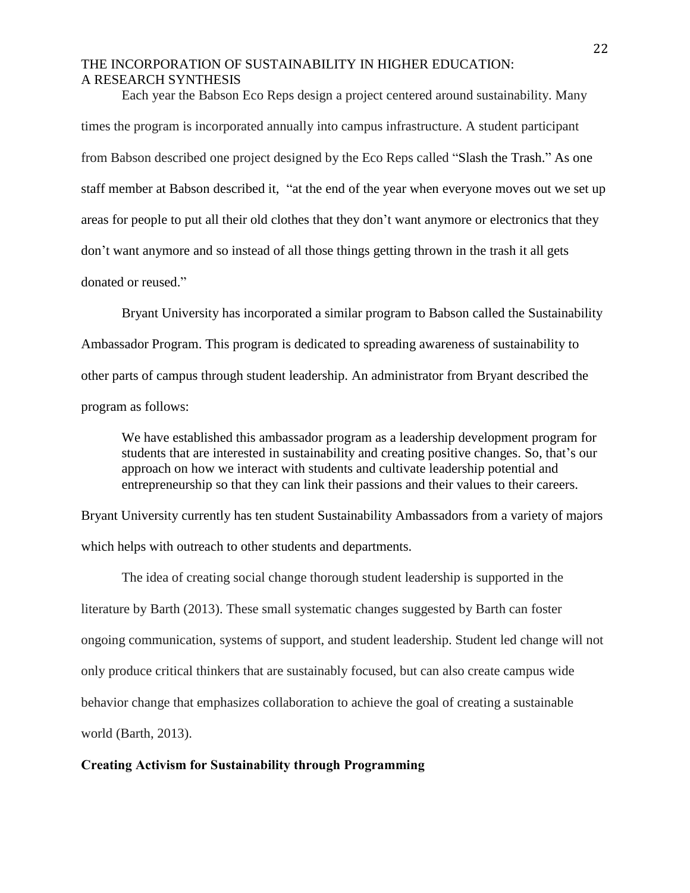Each year the Babson Eco Reps design a project centered around sustainability. Many times the program is incorporated annually into campus infrastructure. A student participant from Babson described one project designed by the Eco Reps called "Slash the Trash." As one staff member at Babson described it, "at the end of the year when everyone moves out we set up areas for people to put all their old clothes that they don't want anymore or electronics that they don't want anymore and so instead of all those things getting thrown in the trash it all gets donated or reused."

Bryant University has incorporated a similar program to Babson called the Sustainability Ambassador Program. This program is dedicated to spreading awareness of sustainability to other parts of campus through student leadership. An administrator from Bryant described the program as follows:

We have established this ambassador program as a leadership development program for students that are interested in sustainability and creating positive changes. So, that's our approach on how we interact with students and cultivate leadership potential and entrepreneurship so that they can link their passions and their values to their careers.

Bryant University currently has ten student Sustainability Ambassadors from a variety of majors which helps with outreach to other students and departments.

The idea of creating social change thorough student leadership is supported in the literature by Barth (2013). These small systematic changes suggested by Barth can foster ongoing communication, systems of support, and student leadership. Student led change will not only produce critical thinkers that are sustainably focused, but can also create campus wide behavior change that emphasizes collaboration to achieve the goal of creating a sustainable world (Barth, 2013).

#### **Creating Activism for Sustainability through Programming**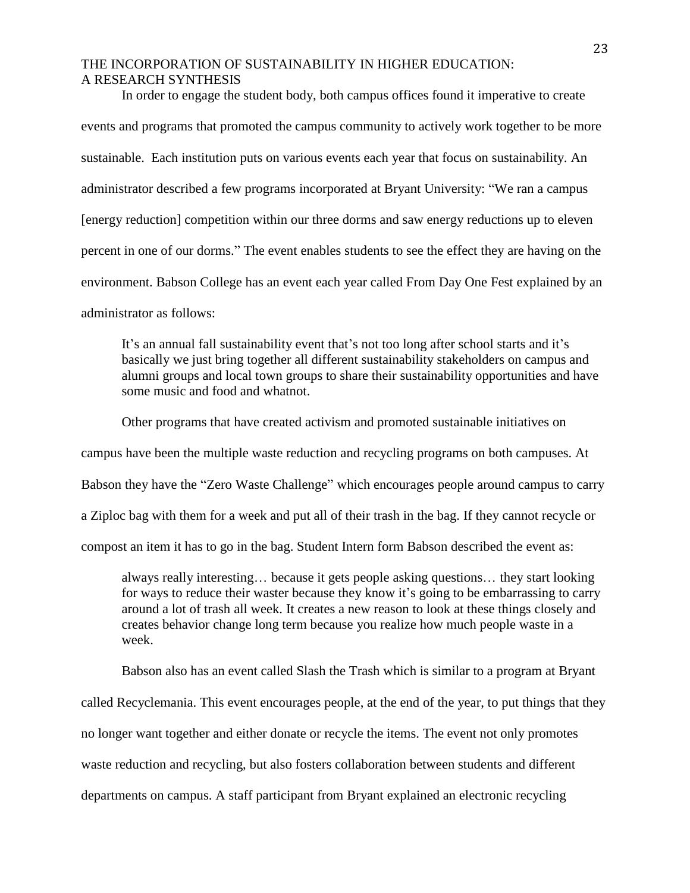In order to engage the student body, both campus offices found it imperative to create events and programs that promoted the campus community to actively work together to be more sustainable. Each institution puts on various events each year that focus on sustainability. An administrator described a few programs incorporated at Bryant University: "We ran a campus [energy reduction] competition within our three dorms and saw energy reductions up to eleven percent in one of our dorms." The event enables students to see the effect they are having on the environment. Babson College has an event each year called From Day One Fest explained by an administrator as follows:

It's an annual fall sustainability event that's not too long after school starts and it's basically we just bring together all different sustainability stakeholders on campus and alumni groups and local town groups to share their sustainability opportunities and have some music and food and whatnot.

Other programs that have created activism and promoted sustainable initiatives on campus have been the multiple waste reduction and recycling programs on both campuses. At Babson they have the "Zero Waste Challenge" which encourages people around campus to carry a Ziploc bag with them for a week and put all of their trash in the bag. If they cannot recycle or compost an item it has to go in the bag. Student Intern form Babson described the event as:

always really interesting… because it gets people asking questions… they start looking for ways to reduce their waster because they know it's going to be embarrassing to carry around a lot of trash all week. It creates a new reason to look at these things closely and creates behavior change long term because you realize how much people waste in a week.

Babson also has an event called Slash the Trash which is similar to a program at Bryant

called Recyclemania. This event encourages people, at the end of the year, to put things that they

no longer want together and either donate or recycle the items. The event not only promotes

waste reduction and recycling, but also fosters collaboration between students and different

departments on campus. A staff participant from Bryant explained an electronic recycling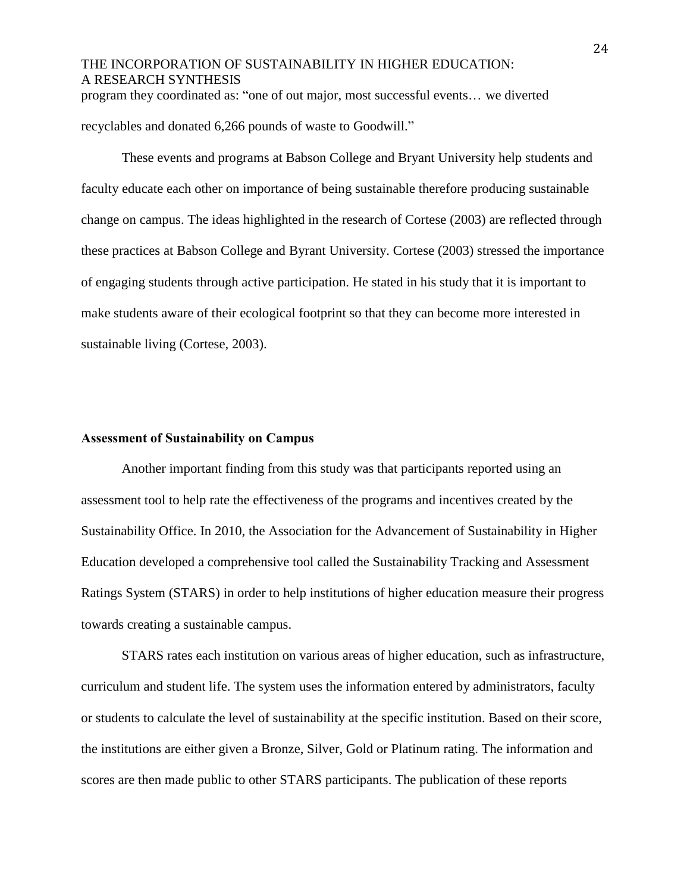## THE INCORPORATION OF SUSTAINABILITY IN HIGHER EDUCATION: A RESEARCH SYNTHESIS program they coordinated as: "one of out major, most successful events… we diverted

recyclables and donated 6,266 pounds of waste to Goodwill."

These events and programs at Babson College and Bryant University help students and faculty educate each other on importance of being sustainable therefore producing sustainable change on campus. The ideas highlighted in the research of Cortese (2003) are reflected through these practices at Babson College and Byrant University. Cortese (2003) stressed the importance of engaging students through active participation. He stated in his study that it is important to make students aware of their ecological footprint so that they can become more interested in sustainable living (Cortese, 2003).

#### **Assessment of Sustainability on Campus**

Another important finding from this study was that participants reported using an assessment tool to help rate the effectiveness of the programs and incentives created by the Sustainability Office. In 2010, the Association for the Advancement of Sustainability in Higher Education developed a comprehensive tool called the Sustainability Tracking and Assessment Ratings System (STARS) in order to help institutions of higher education measure their progress towards creating a sustainable campus.

STARS rates each institution on various areas of higher education, such as infrastructure, curriculum and student life. The system uses the information entered by administrators, faculty or students to calculate the level of sustainability at the specific institution. Based on their score, the institutions are either given a Bronze, Silver, Gold or Platinum rating. The information and scores are then made public to other STARS participants. The publication of these reports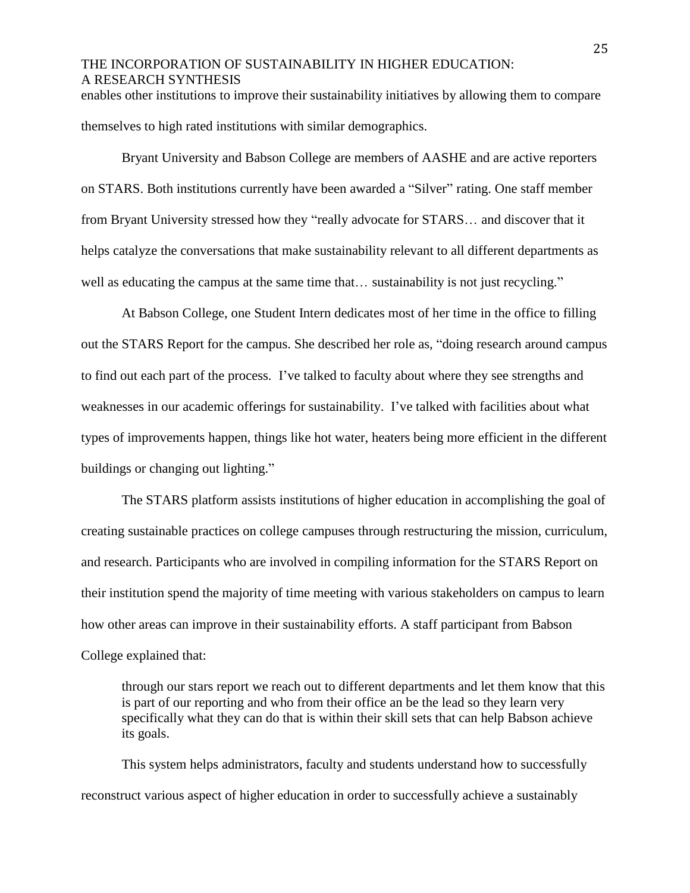enables other institutions to improve their sustainability initiatives by allowing them to compare themselves to high rated institutions with similar demographics.

Bryant University and Babson College are members of AASHE and are active reporters on STARS. Both institutions currently have been awarded a "Silver" rating. One staff member from Bryant University stressed how they "really advocate for STARS… and discover that it helps catalyze the conversations that make sustainability relevant to all different departments as well as educating the campus at the same time that... sustainability is not just recycling."

At Babson College, one Student Intern dedicates most of her time in the office to filling out the STARS Report for the campus. She described her role as, "doing research around campus to find out each part of the process. I've talked to faculty about where they see strengths and weaknesses in our academic offerings for sustainability. I've talked with facilities about what types of improvements happen, things like hot water, heaters being more efficient in the different buildings or changing out lighting."

The STARS platform assists institutions of higher education in accomplishing the goal of creating sustainable practices on college campuses through restructuring the mission, curriculum, and research. Participants who are involved in compiling information for the STARS Report on their institution spend the majority of time meeting with various stakeholders on campus to learn how other areas can improve in their sustainability efforts. A staff participant from Babson College explained that:

through our stars report we reach out to different departments and let them know that this is part of our reporting and who from their office an be the lead so they learn very specifically what they can do that is within their skill sets that can help Babson achieve its goals.

This system helps administrators, faculty and students understand how to successfully reconstruct various aspect of higher education in order to successfully achieve a sustainably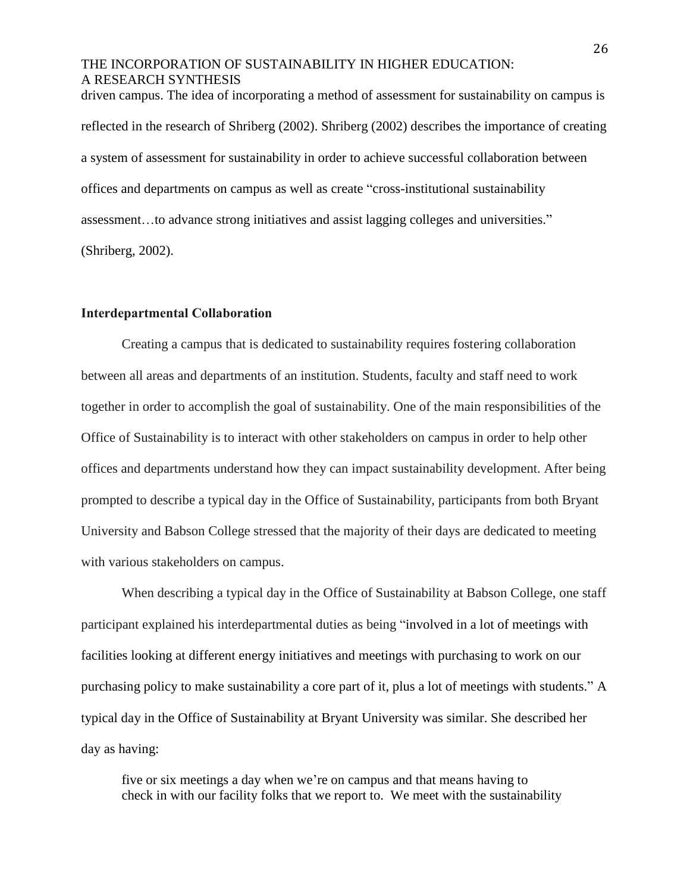driven campus. The idea of incorporating a method of assessment for sustainability on campus is reflected in the research of Shriberg (2002). Shriberg (2002) describes the importance of creating a system of assessment for sustainability in order to achieve successful collaboration between offices and departments on campus as well as create "cross-institutional sustainability assessment…to advance strong initiatives and assist lagging colleges and universities." (Shriberg, 2002).

#### **Interdepartmental Collaboration**

Creating a campus that is dedicated to sustainability requires fostering collaboration between all areas and departments of an institution. Students, faculty and staff need to work together in order to accomplish the goal of sustainability. One of the main responsibilities of the Office of Sustainability is to interact with other stakeholders on campus in order to help other offices and departments understand how they can impact sustainability development. After being prompted to describe a typical day in the Office of Sustainability, participants from both Bryant University and Babson College stressed that the majority of their days are dedicated to meeting with various stakeholders on campus.

When describing a typical day in the Office of Sustainability at Babson College, one staff participant explained his interdepartmental duties as being "involved in a lot of meetings with facilities looking at different energy initiatives and meetings with purchasing to work on our purchasing policy to make sustainability a core part of it, plus a lot of meetings with students." A typical day in the Office of Sustainability at Bryant University was similar. She described her day as having:

five or six meetings a day when we're on campus and that means having to check in with our facility folks that we report to. We meet with the sustainability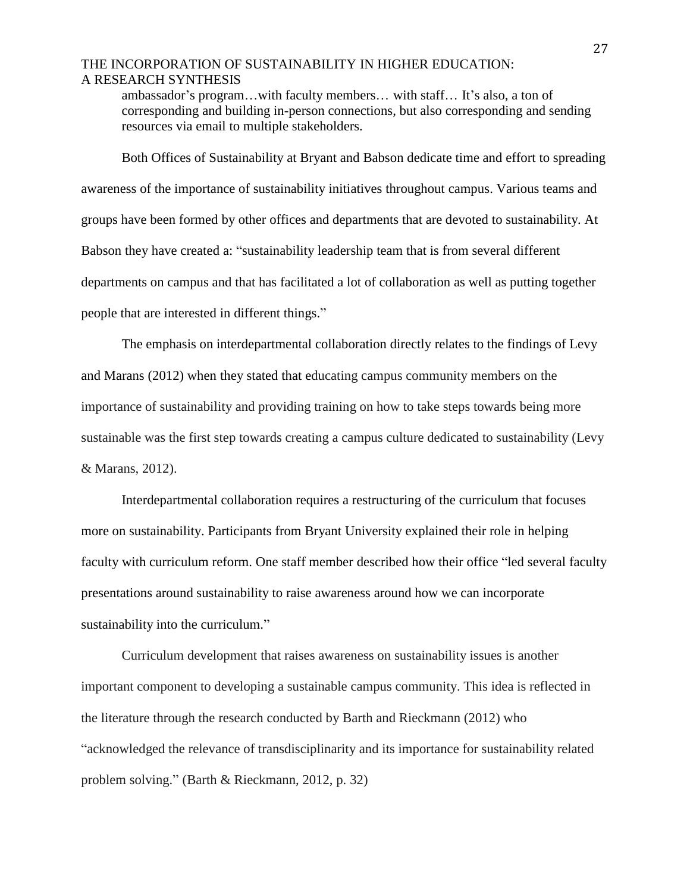ambassador's program…with faculty members… with staff… It's also, a ton of corresponding and building in-person connections, but also corresponding and sending resources via email to multiple stakeholders.

Both Offices of Sustainability at Bryant and Babson dedicate time and effort to spreading awareness of the importance of sustainability initiatives throughout campus. Various teams and groups have been formed by other offices and departments that are devoted to sustainability. At Babson they have created a: "sustainability leadership team that is from several different departments on campus and that has facilitated a lot of collaboration as well as putting together people that are interested in different things."

The emphasis on interdepartmental collaboration directly relates to the findings of Levy and Marans (2012) when they stated that educating campus community members on the importance of sustainability and providing training on how to take steps towards being more sustainable was the first step towards creating a campus culture dedicated to sustainability (Levy & Marans, 2012).

Interdepartmental collaboration requires a restructuring of the curriculum that focuses more on sustainability. Participants from Bryant University explained their role in helping faculty with curriculum reform. One staff member described how their office "led several faculty presentations around sustainability to raise awareness around how we can incorporate sustainability into the curriculum."

Curriculum development that raises awareness on sustainability issues is another important component to developing a sustainable campus community. This idea is reflected in the literature through the research conducted by Barth and Rieckmann (2012) who "acknowledged the relevance of transdisciplinarity and its importance for sustainability related problem solving." (Barth & Rieckmann, 2012, p. 32)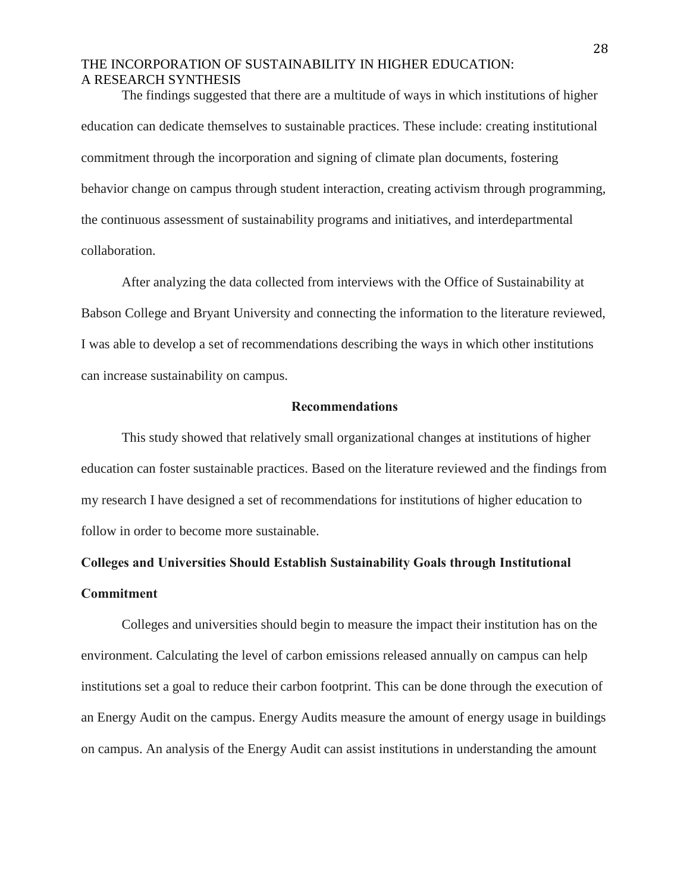The findings suggested that there are a multitude of ways in which institutions of higher education can dedicate themselves to sustainable practices. These include: creating institutional commitment through the incorporation and signing of climate plan documents, fostering behavior change on campus through student interaction, creating activism through programming, the continuous assessment of sustainability programs and initiatives, and interdepartmental collaboration.

After analyzing the data collected from interviews with the Office of Sustainability at Babson College and Bryant University and connecting the information to the literature reviewed, I was able to develop a set of recommendations describing the ways in which other institutions can increase sustainability on campus.

#### **Recommendations**

This study showed that relatively small organizational changes at institutions of higher education can foster sustainable practices. Based on the literature reviewed and the findings from my research I have designed a set of recommendations for institutions of higher education to follow in order to become more sustainable.

# **Colleges and Universities Should Establish Sustainability Goals through Institutional Commitment**

Colleges and universities should begin to measure the impact their institution has on the environment. Calculating the level of carbon emissions released annually on campus can help institutions set a goal to reduce their carbon footprint. This can be done through the execution of an Energy Audit on the campus. Energy Audits measure the amount of energy usage in buildings on campus. An analysis of the Energy Audit can assist institutions in understanding the amount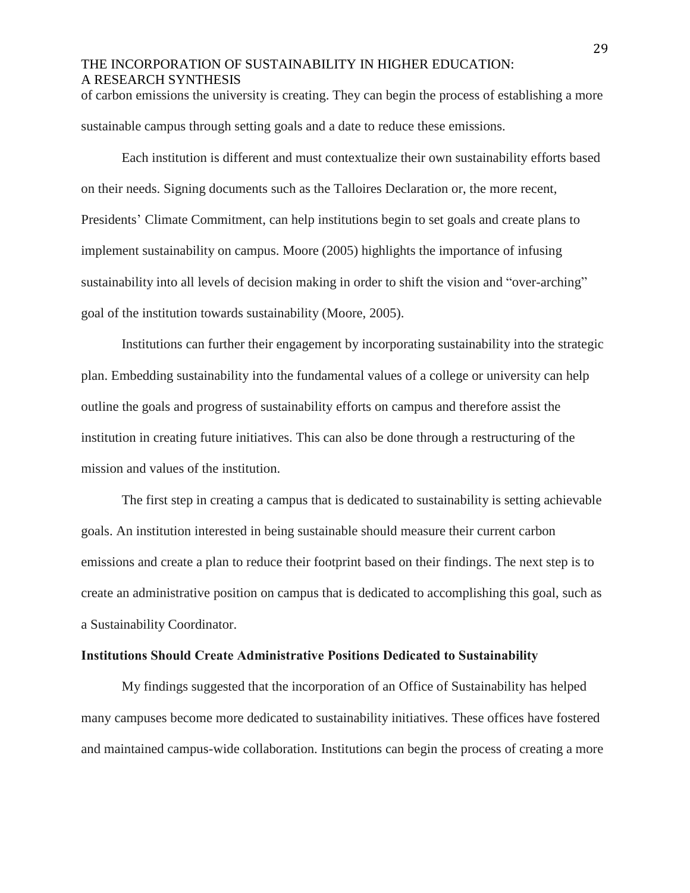of carbon emissions the university is creating. They can begin the process of establishing a more sustainable campus through setting goals and a date to reduce these emissions.

Each institution is different and must contextualize their own sustainability efforts based on their needs. Signing documents such as the Talloires Declaration or, the more recent, Presidents' Climate Commitment, can help institutions begin to set goals and create plans to implement sustainability on campus. Moore (2005) highlights the importance of infusing sustainability into all levels of decision making in order to shift the vision and "over-arching" goal of the institution towards sustainability (Moore, 2005).

Institutions can further their engagement by incorporating sustainability into the strategic plan. Embedding sustainability into the fundamental values of a college or university can help outline the goals and progress of sustainability efforts on campus and therefore assist the institution in creating future initiatives. This can also be done through a restructuring of the mission and values of the institution.

The first step in creating a campus that is dedicated to sustainability is setting achievable goals. An institution interested in being sustainable should measure their current carbon emissions and create a plan to reduce their footprint based on their findings. The next step is to create an administrative position on campus that is dedicated to accomplishing this goal, such as a Sustainability Coordinator.

#### **Institutions Should Create Administrative Positions Dedicated to Sustainability**

My findings suggested that the incorporation of an Office of Sustainability has helped many campuses become more dedicated to sustainability initiatives. These offices have fostered and maintained campus-wide collaboration. Institutions can begin the process of creating a more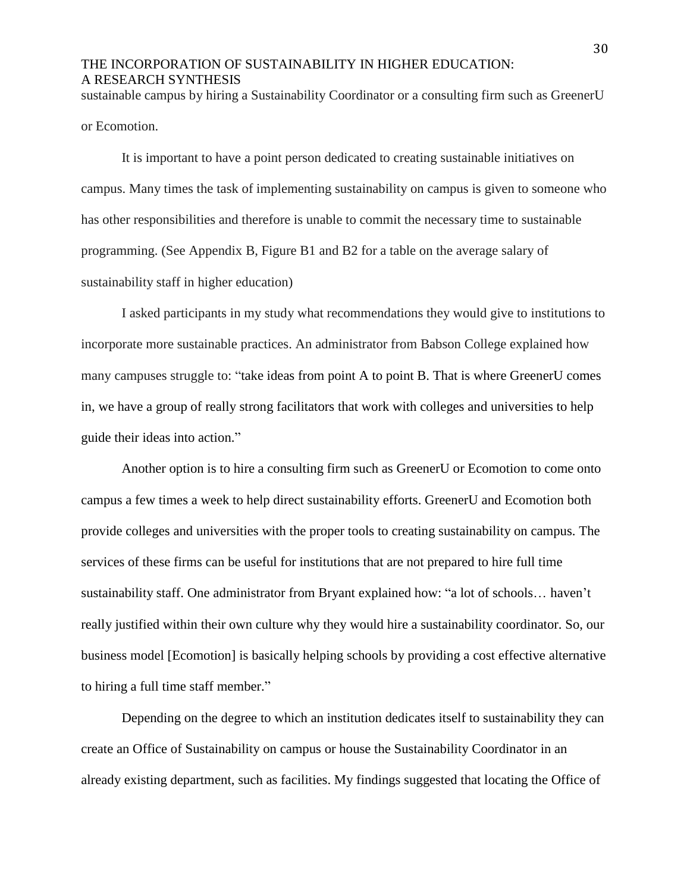sustainable campus by hiring a Sustainability Coordinator or a consulting firm such as GreenerU or Ecomotion.

It is important to have a point person dedicated to creating sustainable initiatives on campus. Many times the task of implementing sustainability on campus is given to someone who has other responsibilities and therefore is unable to commit the necessary time to sustainable programming. (See Appendix B, Figure B1 and B2 for a table on the average salary of sustainability staff in higher education)

I asked participants in my study what recommendations they would give to institutions to incorporate more sustainable practices. An administrator from Babson College explained how many campuses struggle to: "take ideas from point A to point B. That is where GreenerU comes in, we have a group of really strong facilitators that work with colleges and universities to help guide their ideas into action."

Another option is to hire a consulting firm such as GreenerU or Ecomotion to come onto campus a few times a week to help direct sustainability efforts. GreenerU and Ecomotion both provide colleges and universities with the proper tools to creating sustainability on campus. The services of these firms can be useful for institutions that are not prepared to hire full time sustainability staff. One administrator from Bryant explained how: "a lot of schools… haven't really justified within their own culture why they would hire a sustainability coordinator. So, our business model [Ecomotion] is basically helping schools by providing a cost effective alternative to hiring a full time staff member."

Depending on the degree to which an institution dedicates itself to sustainability they can create an Office of Sustainability on campus or house the Sustainability Coordinator in an already existing department, such as facilities. My findings suggested that locating the Office of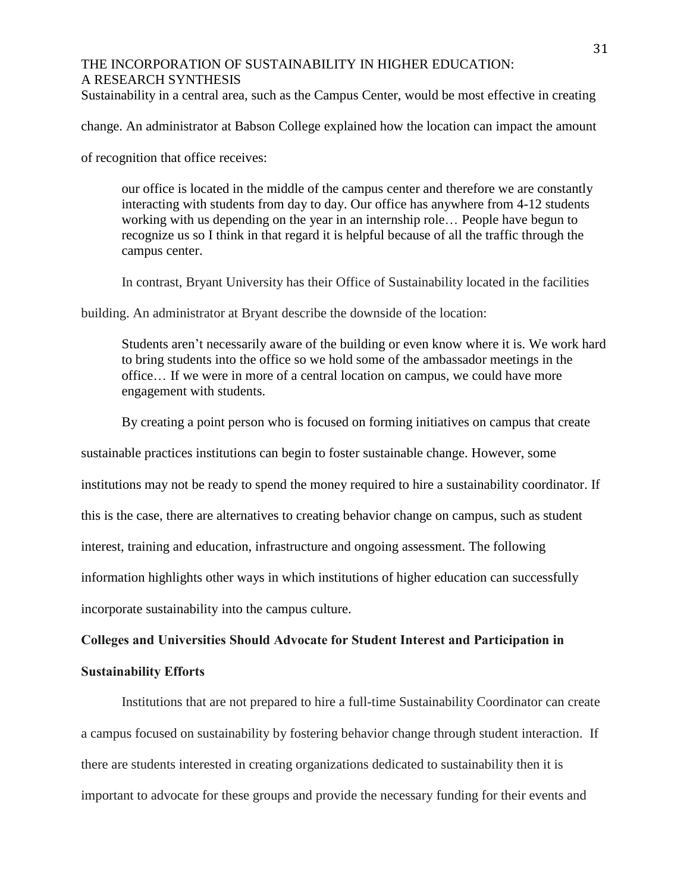Sustainability in a central area, such as the Campus Center, would be most effective in creating

change. An administrator at Babson College explained how the location can impact the amount

of recognition that office receives:

our office is located in the middle of the campus center and therefore we are constantly interacting with students from day to day. Our office has anywhere from 4-12 students working with us depending on the year in an internship role… People have begun to recognize us so I think in that regard it is helpful because of all the traffic through the campus center.

In contrast, Bryant University has their Office of Sustainability located in the facilities

building. An administrator at Bryant describe the downside of the location:

Students aren't necessarily aware of the building or even know where it is. We work hard to bring students into the office so we hold some of the ambassador meetings in the office… If we were in more of a central location on campus, we could have more engagement with students.

By creating a point person who is focused on forming initiatives on campus that create

sustainable practices institutions can begin to foster sustainable change. However, some

institutions may not be ready to spend the money required to hire a sustainability coordinator. If

this is the case, there are alternatives to creating behavior change on campus, such as student

interest, training and education, infrastructure and ongoing assessment. The following

information highlights other ways in which institutions of higher education can successfully

incorporate sustainability into the campus culture.

#### **Colleges and Universities Should Advocate for Student Interest and Participation in**

#### **Sustainability Efforts**

Institutions that are not prepared to hire a full-time Sustainability Coordinator can create a campus focused on sustainability by fostering behavior change through student interaction. If there are students interested in creating organizations dedicated to sustainability then it is important to advocate for these groups and provide the necessary funding for their events and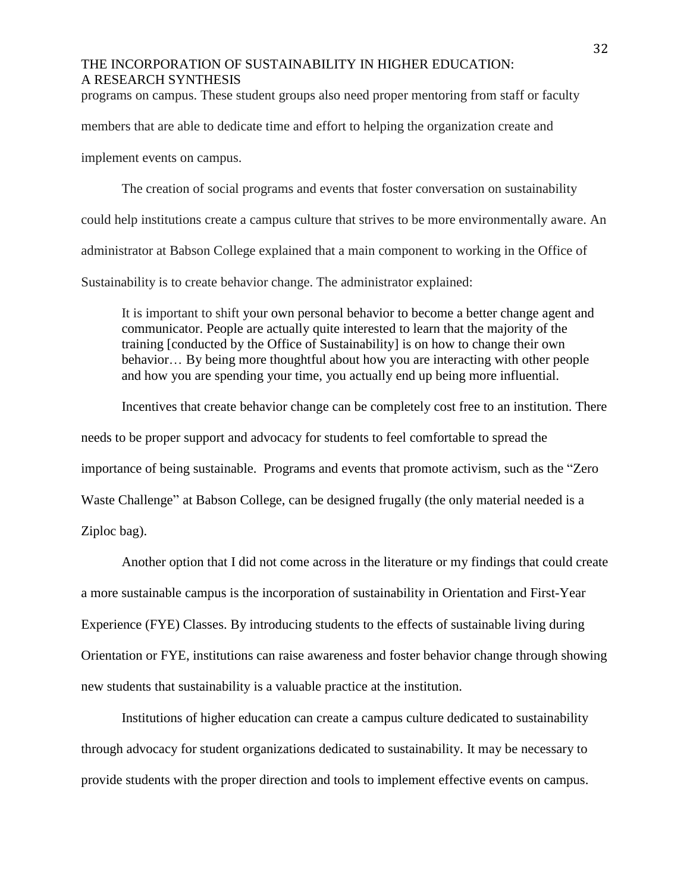programs on campus. These student groups also need proper mentoring from staff or faculty

members that are able to dedicate time and effort to helping the organization create and

implement events on campus.

The creation of social programs and events that foster conversation on sustainability could help institutions create a campus culture that strives to be more environmentally aware. An administrator at Babson College explained that a main component to working in the Office of Sustainability is to create behavior change. The administrator explained:

It is important to shift your own personal behavior to become a better change agent and communicator. People are actually quite interested to learn that the majority of the training [conducted by the Office of Sustainability] is on how to change their own behavior… By being more thoughtful about how you are interacting with other people and how you are spending your time, you actually end up being more influential.

Incentives that create behavior change can be completely cost free to an institution. There needs to be proper support and advocacy for students to feel comfortable to spread the importance of being sustainable. Programs and events that promote activism, such as the "Zero Waste Challenge" at Babson College, can be designed frugally (the only material needed is a Ziploc bag).

Another option that I did not come across in the literature or my findings that could create a more sustainable campus is the incorporation of sustainability in Orientation and First-Year Experience (FYE) Classes. By introducing students to the effects of sustainable living during Orientation or FYE, institutions can raise awareness and foster behavior change through showing new students that sustainability is a valuable practice at the institution.

Institutions of higher education can create a campus culture dedicated to sustainability through advocacy for student organizations dedicated to sustainability. It may be necessary to provide students with the proper direction and tools to implement effective events on campus.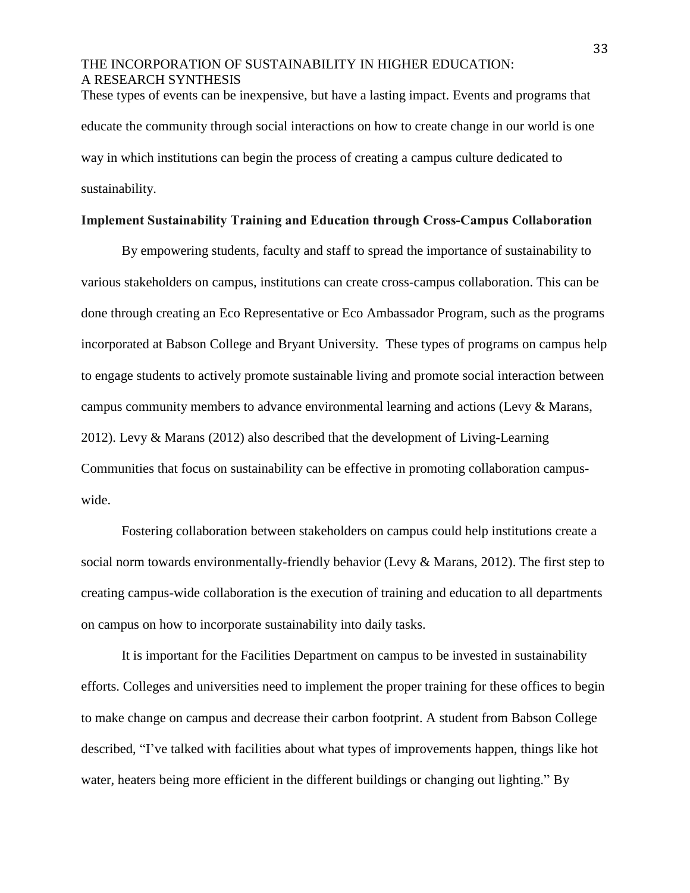These types of events can be inexpensive, but have a lasting impact. Events and programs that educate the community through social interactions on how to create change in our world is one way in which institutions can begin the process of creating a campus culture dedicated to sustainability.

#### **Implement Sustainability Training and Education through Cross-Campus Collaboration**

By empowering students, faculty and staff to spread the importance of sustainability to various stakeholders on campus, institutions can create cross-campus collaboration. This can be done through creating an Eco Representative or Eco Ambassador Program, such as the programs incorporated at Babson College and Bryant University. These types of programs on campus help to engage students to actively promote sustainable living and promote social interaction between campus community members to advance environmental learning and actions (Levy & Marans, 2012). Levy & Marans (2012) also described that the development of Living-Learning Communities that focus on sustainability can be effective in promoting collaboration campuswide.

Fostering collaboration between stakeholders on campus could help institutions create a social norm towards environmentally-friendly behavior (Levy & Marans, 2012). The first step to creating campus-wide collaboration is the execution of training and education to all departments on campus on how to incorporate sustainability into daily tasks.

It is important for the Facilities Department on campus to be invested in sustainability efforts. Colleges and universities need to implement the proper training for these offices to begin to make change on campus and decrease their carbon footprint. A student from Babson College described, "I've talked with facilities about what types of improvements happen, things like hot water, heaters being more efficient in the different buildings or changing out lighting." By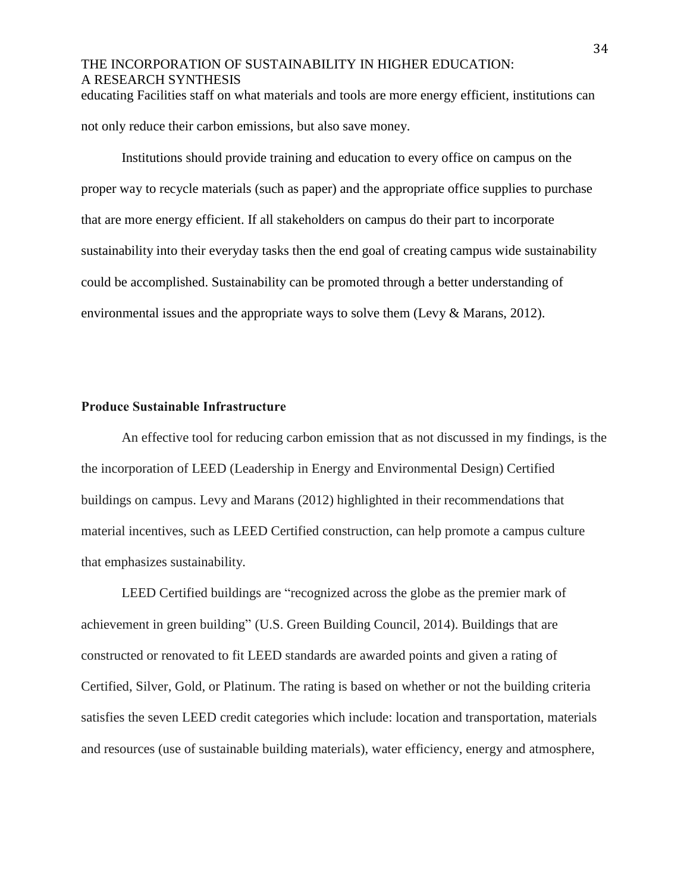educating Facilities staff on what materials and tools are more energy efficient, institutions can not only reduce their carbon emissions, but also save money.

Institutions should provide training and education to every office on campus on the proper way to recycle materials (such as paper) and the appropriate office supplies to purchase that are more energy efficient. If all stakeholders on campus do their part to incorporate sustainability into their everyday tasks then the end goal of creating campus wide sustainability could be accomplished. Sustainability can be promoted through a better understanding of environmental issues and the appropriate ways to solve them (Levy & Marans, 2012).

#### **Produce Sustainable Infrastructure**

An effective tool for reducing carbon emission that as not discussed in my findings, is the the incorporation of LEED (Leadership in Energy and Environmental Design) Certified buildings on campus. Levy and Marans (2012) highlighted in their recommendations that material incentives, such as LEED Certified construction, can help promote a campus culture that emphasizes sustainability.

LEED Certified buildings are "recognized across the globe as the premier mark of achievement in green building" (U.S. Green Building Council, 2014). Buildings that are constructed or renovated to fit LEED standards are awarded points and given a rating of Certified, Silver, Gold, or Platinum. The rating is based on whether or not the building criteria satisfies the seven LEED credit categories which include: location and transportation, materials and resources (use of sustainable building materials), water efficiency, energy and atmosphere,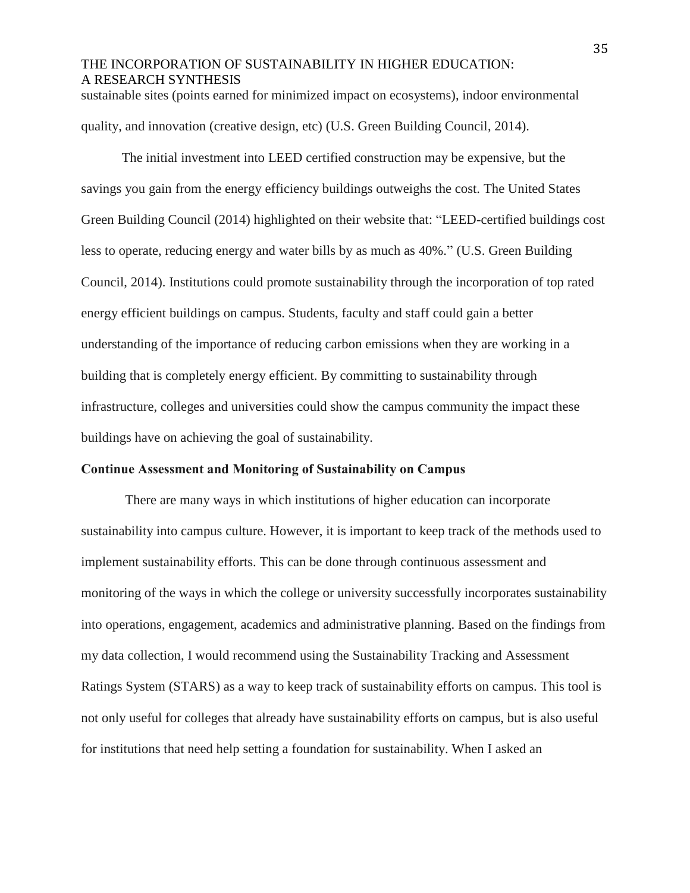sustainable sites (points earned for minimized impact on ecosystems), indoor environmental quality, and innovation (creative design, etc) (U.S. Green Building Council, 2014).

The initial investment into LEED certified construction may be expensive, but the savings you gain from the energy efficiency buildings outweighs the cost. The United States Green Building Council (2014) highlighted on their website that: "LEED-certified buildings cost less to operate, reducing energy and water bills by as much as 40%." (U.S. Green Building Council, 2014). Institutions could promote sustainability through the incorporation of top rated energy efficient buildings on campus. Students, faculty and staff could gain a better understanding of the importance of reducing carbon emissions when they are working in a building that is completely energy efficient. By committing to sustainability through infrastructure, colleges and universities could show the campus community the impact these buildings have on achieving the goal of sustainability.

#### **Continue Assessment and Monitoring of Sustainability on Campus**

There are many ways in which institutions of higher education can incorporate sustainability into campus culture. However, it is important to keep track of the methods used to implement sustainability efforts. This can be done through continuous assessment and monitoring of the ways in which the college or university successfully incorporates sustainability into operations, engagement, academics and administrative planning. Based on the findings from my data collection, I would recommend using the Sustainability Tracking and Assessment Ratings System (STARS) as a way to keep track of sustainability efforts on campus. This tool is not only useful for colleges that already have sustainability efforts on campus, but is also useful for institutions that need help setting a foundation for sustainability. When I asked an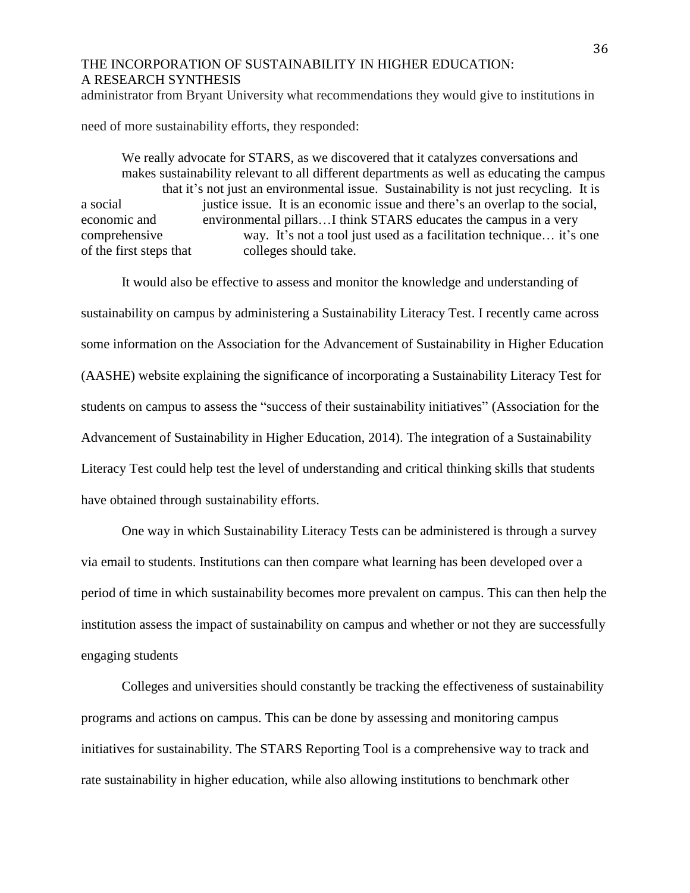administrator from Bryant University what recommendations they would give to institutions in

need of more sustainability efforts, they responded:

We really advocate for STARS, as we discovered that it catalyzes conversations and makes sustainability relevant to all different departments as well as educating the campus that it's not just an environmental issue. Sustainability is not just recycling. It is a social justice issue. It is an economic issue and there's an overlap to the social, economic and environmental pillars…I think STARS educates the campus in a very comprehensive way. It's not a tool just used as a facilitation technique… it's one of the first steps that colleges should take.

It would also be effective to assess and monitor the knowledge and understanding of sustainability on campus by administering a Sustainability Literacy Test. I recently came across some information on the Association for the Advancement of Sustainability in Higher Education (AASHE) website explaining the significance of incorporating a Sustainability Literacy Test for students on campus to assess the "success of their sustainability initiatives" (Association for the Advancement of Sustainability in Higher Education, 2014). The integration of a Sustainability Literacy Test could help test the level of understanding and critical thinking skills that students have obtained through sustainability efforts.

One way in which Sustainability Literacy Tests can be administered is through a survey via email to students. Institutions can then compare what learning has been developed over a period of time in which sustainability becomes more prevalent on campus. This can then help the institution assess the impact of sustainability on campus and whether or not they are successfully engaging students

Colleges and universities should constantly be tracking the effectiveness of sustainability programs and actions on campus. This can be done by assessing and monitoring campus initiatives for sustainability. The STARS Reporting Tool is a comprehensive way to track and rate sustainability in higher education, while also allowing institutions to benchmark other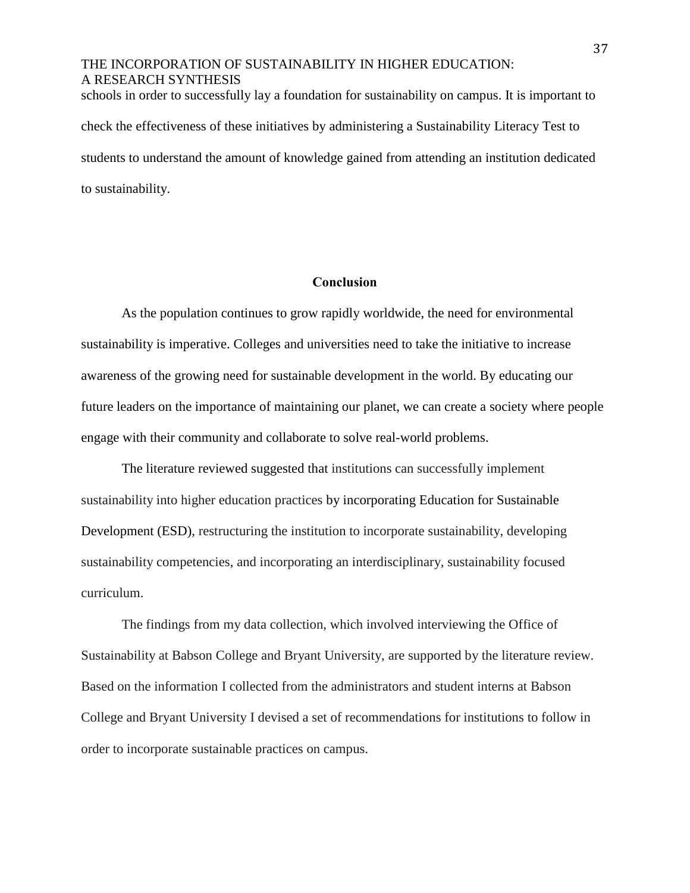## THE INCORPORATION OF SUSTAINABILITY IN HIGHER EDUCATION: A RESEARCH SYNTHESIS schools in order to successfully lay a foundation for sustainability on campus. It is important to

check the effectiveness of these initiatives by administering a Sustainability Literacy Test to students to understand the amount of knowledge gained from attending an institution dedicated to sustainability.

#### **Conclusion**

As the population continues to grow rapidly worldwide, the need for environmental sustainability is imperative. Colleges and universities need to take the initiative to increase awareness of the growing need for sustainable development in the world. By educating our future leaders on the importance of maintaining our planet, we can create a society where people engage with their community and collaborate to solve real-world problems.

The literature reviewed suggested that institutions can successfully implement sustainability into higher education practices by incorporating Education for Sustainable Development (ESD), restructuring the institution to incorporate sustainability, developing sustainability competencies, and incorporating an interdisciplinary, sustainability focused curriculum.

The findings from my data collection, which involved interviewing the Office of Sustainability at Babson College and Bryant University, are supported by the literature review. Based on the information I collected from the administrators and student interns at Babson College and Bryant University I devised a set of recommendations for institutions to follow in order to incorporate sustainable practices on campus.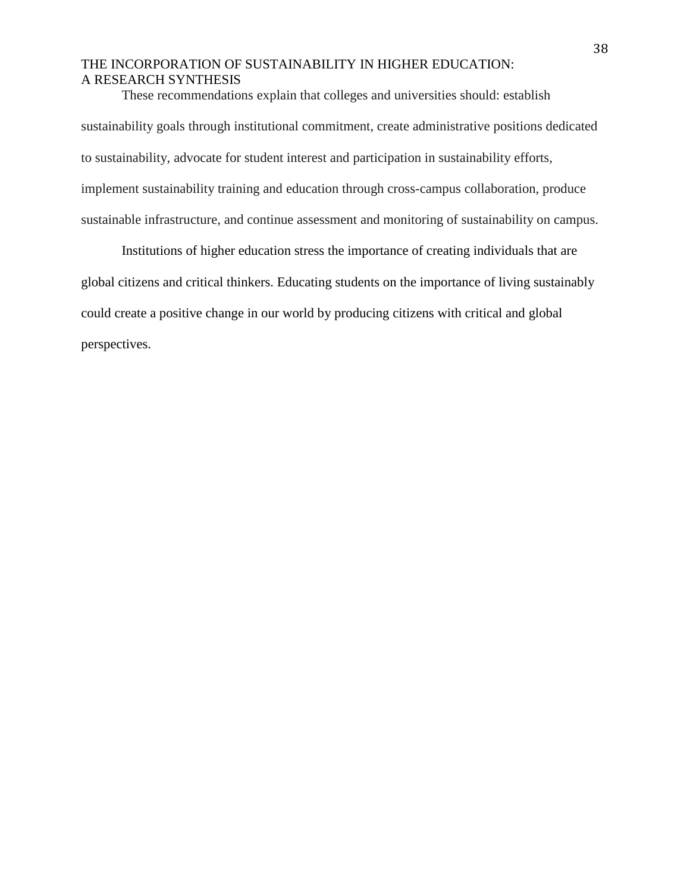These recommendations explain that colleges and universities should: establish sustainability goals through institutional commitment, create administrative positions dedicated to sustainability, advocate for student interest and participation in sustainability efforts, implement sustainability training and education through cross-campus collaboration, produce sustainable infrastructure, and continue assessment and monitoring of sustainability on campus.

Institutions of higher education stress the importance of creating individuals that are global citizens and critical thinkers. Educating students on the importance of living sustainably could create a positive change in our world by producing citizens with critical and global perspectives.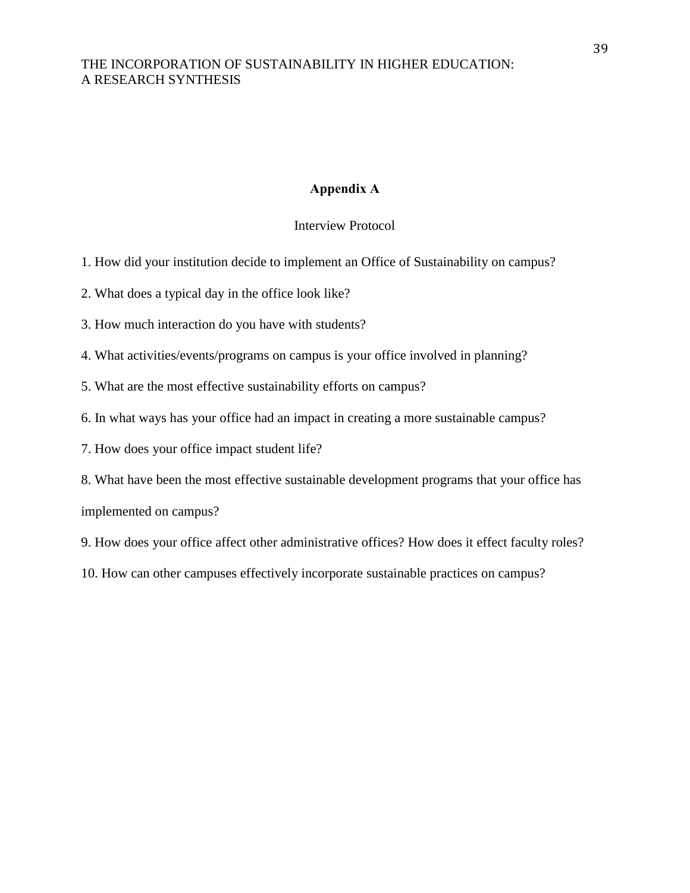### **Appendix A**

Interview Protocol

- 1. How did your institution decide to implement an Office of Sustainability on campus?
- 2. What does a typical day in the office look like?
- 3. How much interaction do you have with students?
- 4. What activities/events/programs on campus is your office involved in planning?
- 5. What are the most effective sustainability efforts on campus?
- 6. In what ways has your office had an impact in creating a more sustainable campus?
- 7. How does your office impact student life?
- 8. What have been the most effective sustainable development programs that your office has implemented on campus?
- 9. How does your office affect other administrative offices? How does it effect faculty roles?
- 10. How can other campuses effectively incorporate sustainable practices on campus?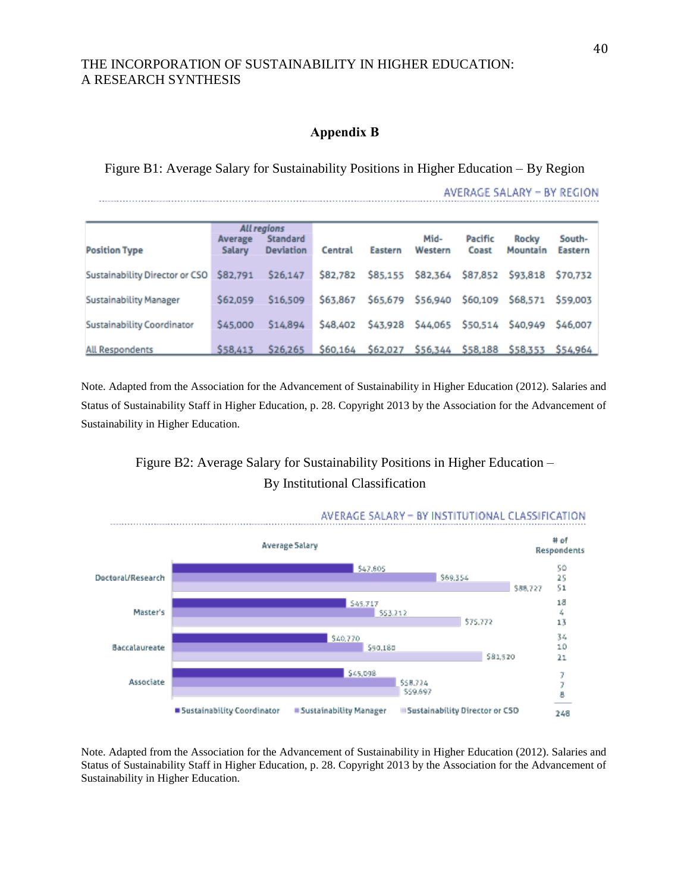#### **Appendix B**

Figure B1: Average Salary for Sustainability Positions in Higher Education – By Region

AVERAGE SALARY - BY REGION

|                                         | All regions<br>Standard<br>Average |                  |          |          | Mid-                       | Pacific | <b>Rocky</b>                                          | South-   |
|-----------------------------------------|------------------------------------|------------------|----------|----------|----------------------------|---------|-------------------------------------------------------|----------|
| <b>Position Type</b>                    | <b>Salary</b>                      | <b>Deviation</b> | Central  | Eastern  | Western                    | Coast   | Mountain                                              | Eastern  |
| Sustainability Director or CSO \$82,791 |                                    | \$26,147         | \$82,782 |          |                            |         | \$85,155 \$82,364 \$87,852 \$93,818 \$70,732          |          |
| <b>Sustainability Manager</b>           | \$62,059                           | \$16,509         | \$63,867 |          | \$65,679 \$56,940          |         |                                                       |          |
| <b>Sustainability Coordinator</b>       | \$45,000                           | S14,894          | \$48,402 | \$43,928 | \$44,065 \$50,514 \$40,949 |         |                                                       | \$46,007 |
| <b>All Respondents</b>                  | \$58,413                           | \$26,265         |          |          |                            |         | \$60,164 \$62,027 \$56,344 \$58,188 \$58,353 \$54,964 |          |

Note. Adapted from the Association for the Advancement of Sustainability in Higher Education (2012). Salaries and Status of Sustainability Staff in Higher Education, p. 28. Copyright 2013 by the Association for the Advancement of Sustainability in Higher Education.





Note. Adapted from the Association for the Advancement of Sustainability in Higher Education (2012). Salaries and Status of Sustainability Staff in Higher Education, p. 28. Copyright 2013 by the Association for the Advancement of Sustainability in Higher Education.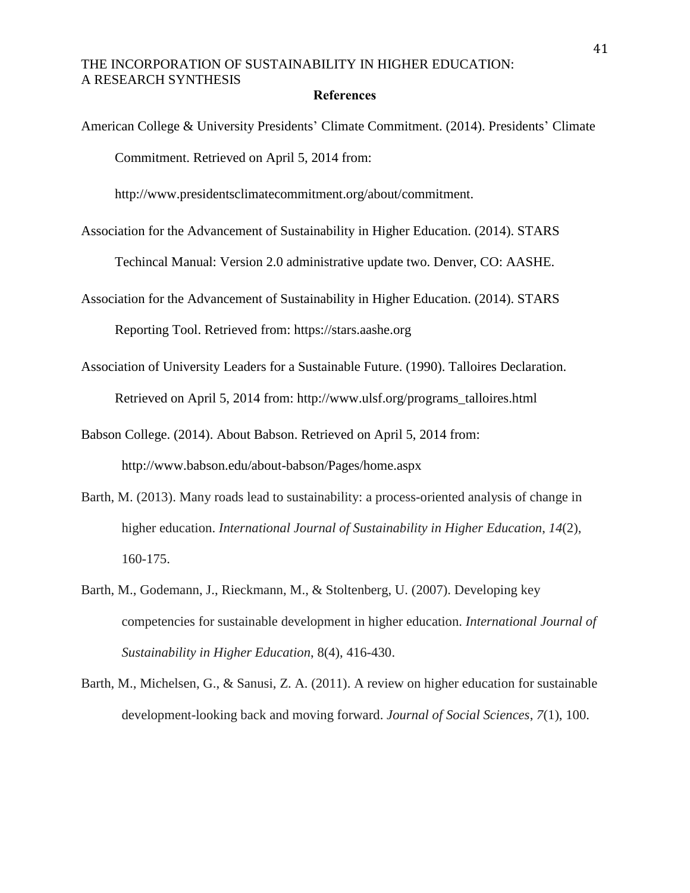#### **References**

American College & University Presidents' Climate Commitment. (2014). Presidents' Climate Commitment. Retrieved on April 5, 2014 from:

[http://www.presidentsclimatecommitment.org/about/c](http://www.presidentsclimatecommitment.org/about/)ommitment.

Association for the Advancement of Sustainability in Higher Education. (2014). STARS

Techincal Manual: Version 2.0 administrative update two. Denver, CO: AASHE.

Association for the Advancement of Sustainability in Higher Education. (2014). STARS

Reporting Tool. Retrieved from: https://stars.aashe.org

Association of University Leaders for a Sustainable Future. (1990). Talloires Declaration. Retrieved on April 5, 2014 from: http://www.ulsf.org/programs\_talloires.html

Babson College. (2014). About Babson. Retrieved on April 5, 2014 from: http://www.babson.edu/about-babson/Pages/home.aspx

- Barth, M. (2013). Many roads lead to sustainability: a process-oriented analysis of change in higher education. *International Journal of Sustainability in Higher Education*, *14*(2), 160-175.
- Barth, M., Godemann, J., Rieckmann, M., & Stoltenberg, U. (2007). Developing key competencies for sustainable development in higher education. *International Journal of Sustainability in Higher Education*, 8(4), 416-430.
- Barth, M., Michelsen, G., & Sanusi, Z. A. (2011). A review on higher education for sustainable development-looking back and moving forward. *Journal of Social Sciences*, *7*(1), 100.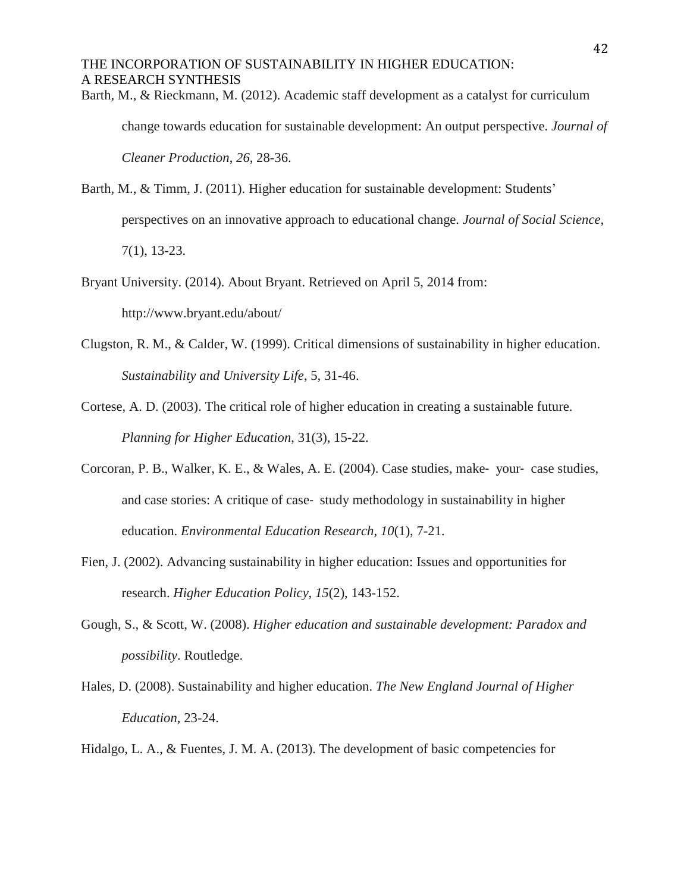Barth, M., & Rieckmann, M. (2012). Academic staff development as a catalyst for curriculum

change towards education for sustainable development: An output perspective. *Journal of*

*Cleaner Production*, *26*, 28-36.

Barth, M., & Timm, J. (2011). Higher education for sustainable development: Students' perspectives on an innovative approach to educational change. *Journal of Social Science*, 7(1), 13-23.

- Bryant University. (2014). About Bryant. Retrieved on April 5, 2014 from: http://www.bryant.edu/about/
- Clugston, R. M., & Calder, W. (1999). Critical dimensions of sustainability in higher education. *Sustainability and University Life*, 5, 31-46.
- Cortese, A. D. (2003). The critical role of higher education in creating a sustainable future. *Planning for Higher Education*, 31(3), 15-22.
- Corcoran, P. B., Walker, K. E., & Wales, A. E. (2004). Case studies, make‐ your‐ case studies, and case stories: A critique of case‐ study methodology in sustainability in higher education. *Environmental Education Research*, *10*(1), 7-21.
- Fien, J. (2002). Advancing sustainability in higher education: Issues and opportunities for research. *Higher Education Policy*, *15*(2), 143-152.
- Gough, S., & Scott, W. (2008). *Higher education and sustainable development: Paradox and possibility*. Routledge.
- Hales, D. (2008). Sustainability and higher education. *The New England Journal of Higher Education*, 23-24.

Hidalgo, L. A., & Fuentes, J. M. A. (2013). The development of basic competencies for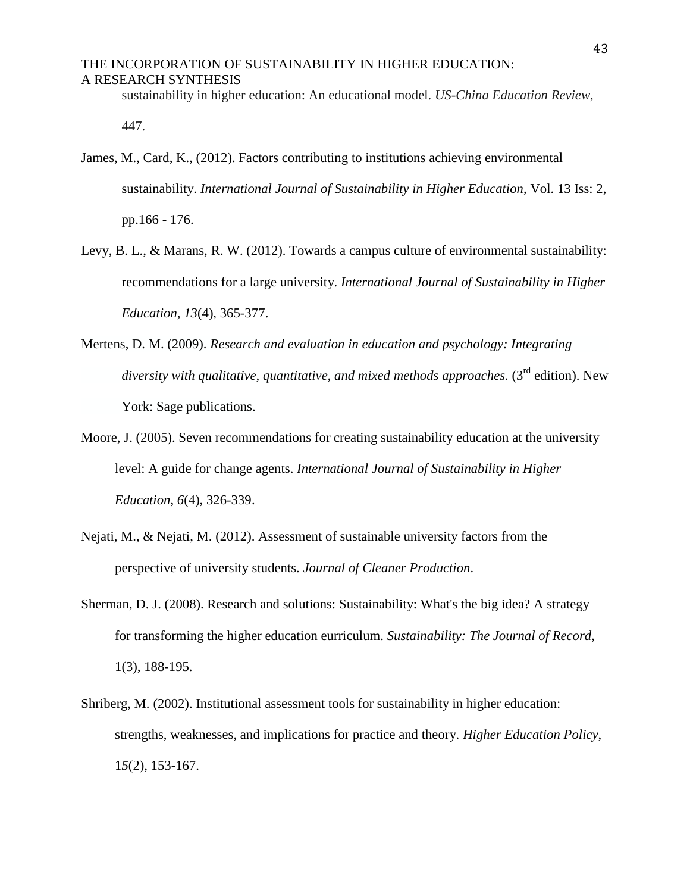sustainability in higher education: An educational model. *US-China Education Review*,

447.

- James, M., Card, K., (2012). Factors contributing to institutions achieving environmental sustainability. *International Journal of Sustainability in Higher Education*, Vol. 13 Iss: 2, pp.166 - 176.
- Levy, B. L., & Marans, R. W. (2012). Towards a campus culture of environmental sustainability: recommendations for a large university. *International Journal of Sustainability in Higher Education*, *13*(4), 365-377.
- Mertens, D. M. (2009). *Research and evaluation in education and psychology: Integrating diversity with qualitative, quantitative, and mixed methods approaches.* (3rd edition). New York: Sage publications.
- Moore, J. (2005). Seven recommendations for creating sustainability education at the university level: A guide for change agents. *International Journal of Sustainability in Higher Education*, *6*(4), 326-339.
- Nejati, M., & Nejati, M. (2012). Assessment of sustainable university factors from the perspective of university students. *Journal of Cleaner Production*.
- Sherman, D. J. (2008). Research and solutions: Sustainability: What's the big idea? A strategy for transforming the higher education eurriculum. *Sustainability: The Journal of Record*, 1(3), 188-195.
- Shriberg, M. (2002). Institutional assessment tools for sustainability in higher education: strengths, weaknesses, and implications for practice and theory. *Higher Education Policy*, 1*5*(2), 153-167.